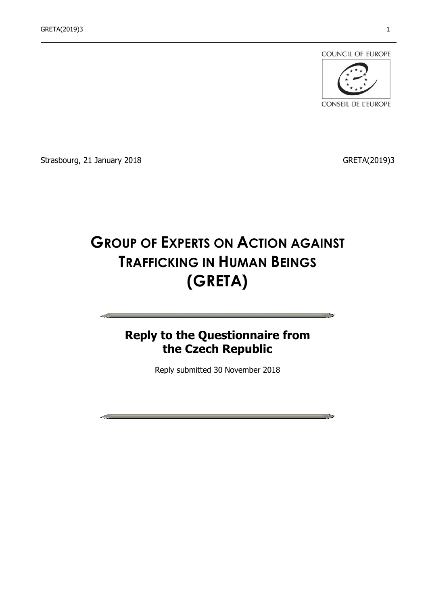

CONSEIL DE L'EUROPE

**Contract Contract** 

Strasbourg, 21 January 2018 **GRETA**(2019)3

# **GROUP OF EXPERTS ON ACTION AGAINST TRAFFICKING IN HUMAN BEINGS (GRETA)**

# **Reply to the Questionnaire from the Czech Republic**

Reply submitted 30 November 2018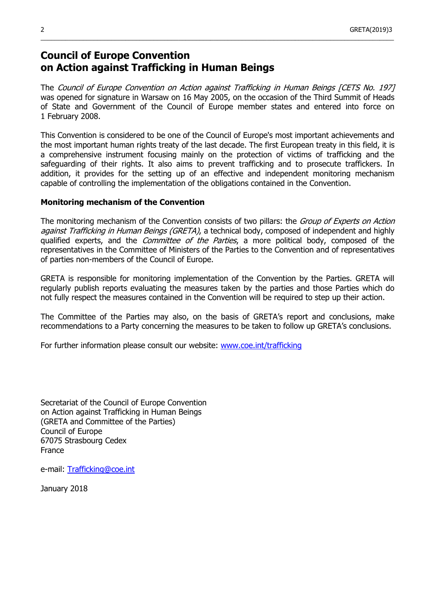# **Council of Europe Convention on Action against Trafficking in Human Beings**

The Council of Europe Convention on Action against Trafficking in Human Beings [CETS No. 197] was opened for signature in Warsaw on 16 May 2005, on the occasion of the Third Summit of Heads of State and Government of the Council of Europe member states and entered into force on 1 February 2008.

 $\_$  , and the set of the set of the set of the set of the set of the set of the set of the set of the set of the set of the set of the set of the set of the set of the set of the set of the set of the set of the set of th

This Convention is considered to be one of the Council of Europe's most important achievements and the most important human rights treaty of the last decade. The first European treaty in this field, it is a comprehensive instrument focusing mainly on the protection of victims of trafficking and the safeguarding of their rights. It also aims to prevent trafficking and to prosecute traffickers. In addition, it provides for the setting up of an effective and independent monitoring mechanism capable of controlling the implementation of the obligations contained in the Convention.

# **Monitoring mechanism of the Convention**

The monitoring mechanism of the Convention consists of two pillars: the *Group of Experts on Action* against Trafficking in Human Beings (GRETA), a technical body, composed of independent and highly qualified experts, and the *Committee of the Parties*, a more political body, composed of the representatives in the Committee of Ministers of the Parties to the Convention and of representatives of parties non-members of the Council of Europe.

GRETA is responsible for monitoring implementation of the Convention by the Parties. GRETA will regularly publish reports evaluating the measures taken by the parties and those Parties which do not fully respect the measures contained in the Convention will be required to step up their action.

The Committee of the Parties may also, on the basis of GRETA's report and conclusions, make recommendations to a Party concerning the measures to be taken to follow up GRETA's conclusions.

For further information please consult our website: [www.coe.int/trafficking](http://www.coe.int/trafficking)

Secretariat of the Council of Europe Convention on Action against Trafficking in Human Beings (GRETA and Committee of the Parties) Council of Europe 67075 Strasbourg Cedex France

e-mail: [Trafficking@coe.int](mailto:Trafficking@coe.int)

January 2018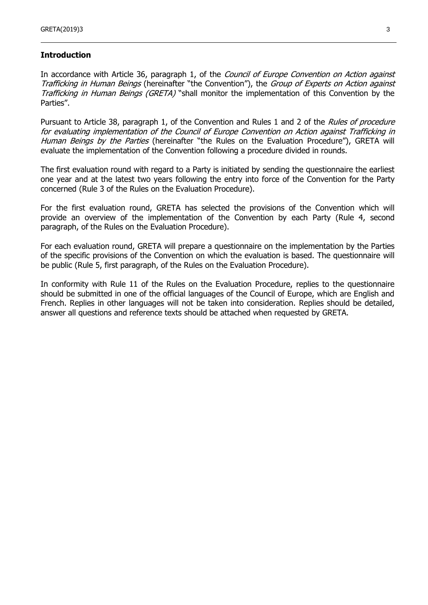#### **Introduction**

In accordance with Article 36, paragraph 1, of the Council of Europe Convention on Action against Trafficking in Human Beings (hereinafter "the Convention"), the Group of Experts on Action against Trafficking in Human Beings (GRETA) "shall monitor the implementation of this Convention by the Parties".

Pursuant to Article 38, paragraph 1, of the Convention and Rules 1 and 2 of the Rules of procedure for evaluating implementation of the Council of Europe Convention on Action against Trafficking in Human Beings by the Parties (hereinafter "the Rules on the Evaluation Procedure"), GRETA will evaluate the implementation of the Convention following a procedure divided in rounds.

The first evaluation round with regard to a Party is initiated by sending the questionnaire the earliest one year and at the latest two years following the entry into force of the Convention for the Party concerned (Rule 3 of the Rules on the Evaluation Procedure).

For the first evaluation round, GRETA has selected the provisions of the Convention which will provide an overview of the implementation of the Convention by each Party (Rule 4, second paragraph, of the Rules on the Evaluation Procedure).

For each evaluation round, GRETA will prepare a questionnaire on the implementation by the Parties of the specific provisions of the Convention on which the evaluation is based. The questionnaire will be public (Rule 5, first paragraph, of the Rules on the Evaluation Procedure).

In conformity with Rule 11 of the Rules on the Evaluation Procedure, replies to the questionnaire should be submitted in one of the official languages of the Council of Europe, which are English and French. Replies in other languages will not be taken into consideration. Replies should be detailed, answer all questions and reference texts should be attached when requested by GRETA.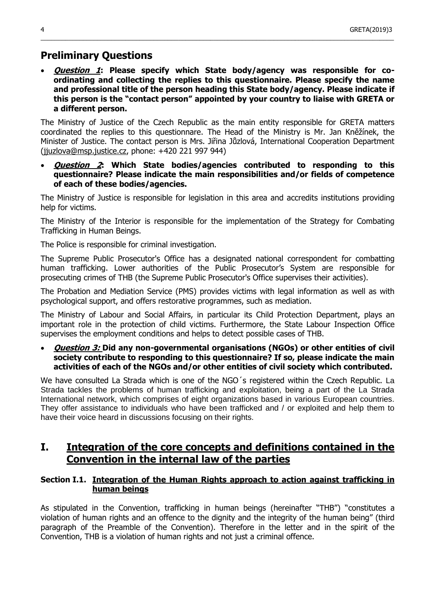# **Preliminary Questions**

 **Question 1: Please specify which State body/agency was responsible for coordinating and collecting the replies to this questionnaire. Please specify the name and professional title of the person heading this State body/agency. Please indicate if this person is the "contact person" appointed by your country to liaise with GRETA or a different person.**

 $\_$  , and the set of the set of the set of the set of the set of the set of the set of the set of the set of the set of the set of the set of the set of the set of the set of the set of the set of the set of the set of th

The Ministry of Justice of the Czech Republic as the main entity responsible for GRETA matters coordinated the replies to this questionnare. The Head of the Ministry is Mr. Jan Kněžínek, the Minister of Justice. The contact person is Mrs. Jiřina Jůzlová, International Cooperation Department [\(jjuzlova@msp.justice.cz,](mailto:jjuzlova@msp.justice.cz) phone: +420 221 997 944)

 **Question 2: Which State bodies/agencies contributed to responding to this questionnaire? Please indicate the main responsibilities and/or fields of competence of each of these bodies/agencies.**

The Ministry of Justice is responsible for legislation in this area and accredits institutions providing help for victims.

The Ministry of the Interior is responsible for the implementation of the Strategy for Combating Trafficking in Human Beings.

The Police is responsible for criminal investigation.

The Supreme Public Prosecutor's Office has a designated national correspondent for combatting human trafficking. Lower authorities of the Public Prosecutor's System are responsible for prosecuting crimes of THB (the Supreme Public Prosecutor's Office supervises their activities).

The Probation and Mediation Service (PMS) provides victims with legal information as well as with psychological support, and offers restorative programmes, such as mediation.

The Ministry of Labour and Social Affairs, in particular its Child Protection Department, plays an important role in the protection of child victims. Furthermore, the State Labour Inspection Office supervises the employment conditions and helps to detect possible cases of THB.

 **Question 3: Did any non-governmental organisations (NGOs) or other entities of civil society contribute to responding to this questionnaire? If so, please indicate the main activities of each of the NGOs and/or other entities of civil society which contributed.**

We have consulted La Strada which is one of the NGO's registered within the Czech Republic. La Strada tackles the problems of human trafficking and exploitation, being a part of the La Strada International network, which comprises of eight organizations based in various European countries. They offer assistance to individuals who have been trafficked and / or exploited and help them to have their voice heard in discussions focusing on their rights.

# **I. Integration of the core concepts and definitions contained in the Convention in the internal law of the parties**

# **Section I.1. Integration of the Human Rights approach to action against trafficking in human beings**

As stipulated in the Convention, trafficking in human beings (hereinafter "THB") "constitutes a violation of human rights and an offence to the dignity and the integrity of the human being" (third paragraph of the Preamble of the Convention). Therefore in the letter and in the spirit of the Convention, THB is a violation of human rights and not just a criminal offence.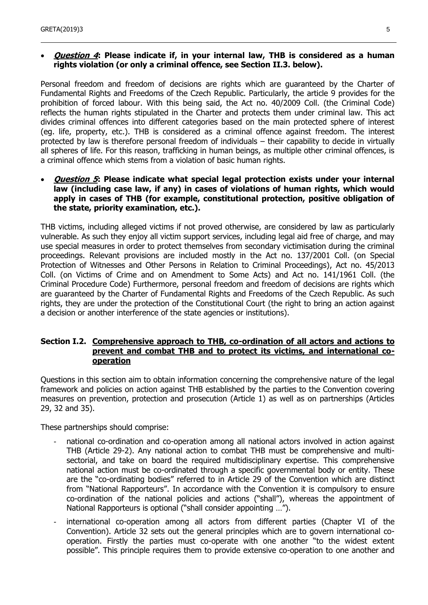#### **Question 4: Please indicate if, in your internal law, THB is considered as a human rights violation (or only a criminal offence, see Section II.3. below).**

Personal freedom and freedom of decisions are rights which are guaranteed by the Charter of Fundamental Rights and Freedoms of the Czech Republic. Particularly, the article 9 provides for the prohibition of forced labour. With this being said, the Act no. 40/2009 Coll. (the Criminal Code) reflects the human rights stipulated in the Charter and protects them under criminal law. This act divides criminal offences into different categories based on the main protected sphere of interest (eg. life, property, etc.). THB is considered as a criminal offence against freedom. The interest protected by law is therefore personal freedom of individuals – their capability to decide in virtually all spheres of life. For this reason, trafficking in human beings, as multiple other criminal offences, is a criminal offence which stems from a violation of basic human rights.

#### **Question 5: Please indicate what special legal protection exists under your internal law (including case law, if any) in cases of violations of human rights, which would apply in cases of THB (for example, constitutional protection, positive obligation of the state, priority examination, etc.).**

THB victims, including alleged victims if not proved otherwise, are considered by law as particularly vulnerable. As such they enjoy all victim support services, including legal aid free of charge, and may use special measures in order to protect themselves from secondary victimisation during the criminal proceedings. Relevant provisions are included mostly in the Act no. 137/2001 Coll. (on Special Protection of Witnesses and Other Persons in Relation to Criminal Proceedings), Act no. 45/2013 Coll. (on Victims of Crime and on Amendment to Some Acts) and Act no. 141/1961 Coll. (the Criminal Procedure Code) Furthermore, personal freedom and freedom of decisions are rights which are guaranteed by the Charter of Fundamental Rights and Freedoms of the Czech Republic. As such rights, they are under the protection of the Constitutional Court (the right to bring an action against a decision or another interference of the state agencies or institutions).

#### **Section I.2. Comprehensive approach to THB, co-ordination of all actors and actions to prevent and combat THB and to protect its victims, and international cooperation**

Questions in this section aim to obtain information concerning the comprehensive nature of the legal framework and policies on action against THB established by the parties to the Convention covering measures on prevention, protection and prosecution (Article 1) as well as on partnerships (Articles 29, 32 and 35).

These partnerships should comprise:

- national co-ordination and co-operation among all national actors involved in action against THB (Article 29-2). Any national action to combat THB must be comprehensive and multisectorial, and take on board the required multidisciplinary expertise. This comprehensive national action must be co-ordinated through a specific governmental body or entity. These are the "co-ordinating bodies" referred to in Article 29 of the Convention which are distinct from "National Rapporteurs". In accordance with the Convention it is compulsory to ensure co-ordination of the national policies and actions ("shall"), whereas the appointment of National Rapporteurs is optional ("shall consider appointing …").
- international co-operation among all actors from different parties (Chapter VI of the Convention). Article 32 sets out the general principles which are to govern international cooperation. Firstly the parties must co-operate with one another "to the widest extent possible". This principle requires them to provide extensive co-operation to one another and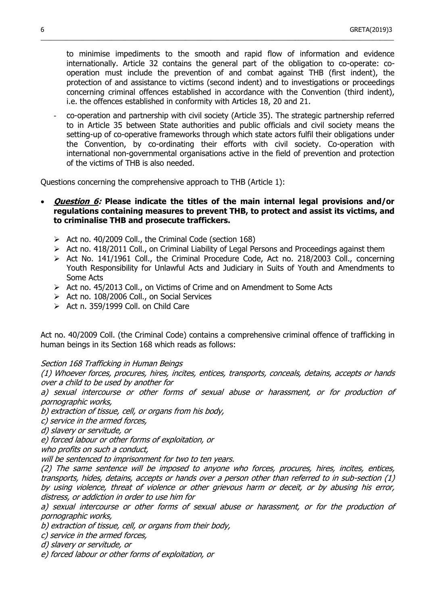to minimise impediments to the smooth and rapid flow of information and evidence internationally. Article 32 contains the general part of the obligation to co-operate: cooperation must include the prevention of and combat against THB (first indent), the protection of and assistance to victims (second indent) and to investigations or proceedings concerning criminal offences established in accordance with the Convention (third indent), i.e. the offences established in conformity with Articles 18, 20 and 21.

 $\_$  , and the set of the set of the set of the set of the set of the set of the set of the set of the set of the set of the set of the set of the set of the set of the set of the set of the set of the set of the set of th

- co-operation and partnership with civil society (Article 35). The strategic partnership referred to in Article 35 between State authorities and public officials and civil society means the setting-up of co-operative frameworks through which state actors fulfil their obligations under the Convention, by co-ordinating their efforts with civil society. Co-operation with international non-governmental organisations active in the field of prevention and protection of the victims of THB is also needed.

Questions concerning the comprehensive approach to THB (Article 1):

#### **Question 6: Please indicate the titles of the main internal legal provisions and/or regulations containing measures to prevent THB, to protect and assist its victims, and to criminalise THB and prosecute traffickers.**

- $\triangleright$  Act no. 40/2009 Coll., the Criminal Code (section 168)
- $\triangleright$  Act no. 418/2011 Coll., on Criminal Liability of Legal Persons and Proceedings against them
- $\triangleright$  Act No. 141/1961 Coll., the Criminal Procedure Code, Act no. 218/2003 Coll., concerning Youth Responsibility for Unlawful Acts and Judiciary in Suits of Youth and Amendments to Some Acts
- Act no. 45/2013 Coll., on Victims of Crime and on Amendment to Some Acts
- $\triangleright$  Act no. 108/2006 Coll., on Social Services
- $\triangleright$  Act n. 359/1999 Coll. on Child Care

Act no. 40/2009 Coll. (the Criminal Code) contains a comprehensive criminal offence of trafficking in human beings in its Section 168 which reads as follows:

#### Section 168 Trafficking in Human Beings

(1) Whoever forces, procures, hires, incites, entices, transports, conceals, detains, accepts or hands over a child to be used by another for

a) sexual intercourse or other forms of sexual abuse or harassment, or for production of pornographic works,

b) extraction of tissue, cell, or organs from his body,

c) service in the armed forces,

d) slavery or servitude, or

e) forced labour or other forms of exploitation, or

who profits on such a conduct,

will be sentenced to imprisonment for two to ten years.

(2) The same sentence will be imposed to anyone who forces, procures, hires, incites, entices, transports, hides, detains, accepts or hands over a person other than referred to in sub-section (1) by using violence, threat of violence or other grievous harm or deceit, or by abusing his error, distress, or addiction in order to use him for

a) sexual intercourse or other forms of sexual abuse or harassment, or for the production of pornographic works,

b) extraction of tissue, cell, or organs from their body,

c) service in the armed forces,

d) slavery or servitude, or

e) forced labour or other forms of exploitation, or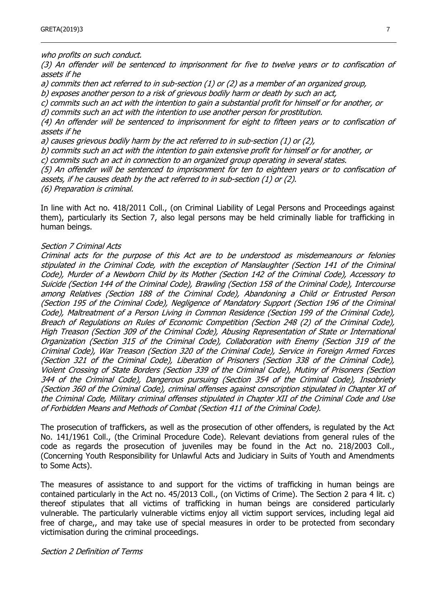who profits on such conduct.

(3) An offender will be sentenced to imprisonment for five to twelve years or to confiscation of assets if he

a) commits then act referred to in sub-section (1) or (2) as a member of an organized group,

b) exposes another person to a risk of grievous bodily harm or death by such an act,

c) commits such an act with the intention to gain a substantial profit for himself or for another, or d) commits such an act with the intention to use another person for prostitution.

(4) An offender will be sentenced to imprisonment for eight to fifteen years or to confiscation of assets if he

a) causes grievous bodily harm by the act referred to in sub-section (1) or (2),

b) commits such an act with the intention to gain extensive profit for himself or for another, or

c) commits such an act in connection to an organized group operating in several states.

(5) An offender will be sentenced to imprisonment for ten to eighteen years or to confiscation of assets, if he causes death by the act referred to in sub-section (1) or (2).

(6) Preparation is criminal.

In line with Act no. 418/2011 Coll., (on Criminal Liability of Legal Persons and Proceedings against them), particularly its Section 7, also legal persons may be held criminally liable for trafficking in human beings.

#### Section 7 Criminal Acts

Criminal acts for the purpose of this Act are to be understood as misdemeanours or felonies stipulated in the Criminal Code, with the exception of Manslaughter (Section 141 of the Criminal Code), Murder of a Newborn Child by its Mother (Section 142 of the Criminal Code), Accessory to Suicide (Section 144 of the Criminal Code), Brawling (Section 158 of the Criminal Code), Intercourse among Relatives (Section 188 of the Criminal Code), Abandoning a Child or Entrusted Person (Section 195 of the Criminal Code), Negligence of Mandatory Support (Section 196 of the Criminal Code), Maltreatment of a Person Living in Common Residence (Section 199 of the Criminal Code), Breach of Regulations on Rules of Economic Competition (Section 248 (2) of the Criminal Code), High Treason (Section 309 of the Criminal Code), Abusing Representation of State or International Organization (Section 315 of the Criminal Code), Collaboration with Enemy (Section 319 of the Criminal Code), War Treason (Section 320 of the Criminal Code), Service in Foreign Armed Forces (Section 321 of the Criminal Code), Liberation of Prisoners (Section 338 of the Criminal Code), Violent Crossing of State Borders (Section 339 of the Criminal Code), Mutiny of Prisoners (Section 344 of the Criminal Code), Dangerous pursuing (Section 354 of the Criminal Code), Insobriety (Section 360 of the Criminal Code), criminal offenses against conscription stipulated in Chapter XI of the Criminal Code, Military criminal offenses stipulated in Chapter XII of the Criminal Code and Use of Forbidden Means and Methods of Combat (Section 411 of the Criminal Code).

The prosecution of traffickers, as well as the prosecution of other offenders, is regulated by the Act No. 141/1961 Coll., (the Criminal Procedure Code). Relevant deviations from general rules of the code as regards the prosecution of juveniles may be found in the Act no. 218/2003 Coll., (Concerning Youth Responsibility for Unlawful Acts and Judiciary in Suits of Youth and Amendments to Some Acts).

The measures of assistance to and support for the victims of trafficking in human beings are contained particularly in the Act no. 45/2013 Coll., (on Victims of Crime). The Section 2 para 4 lit. c) thereof stipulates that all victims of trafficking in human beings are considered particularly vulnerable. The particularly vulnerable victims enjoy all victim support services, including legal aid free of charge,, and may take use of special measures in order to be protected from secondary victimisation during the criminal proceedings.

#### Section 2 Definition of Terms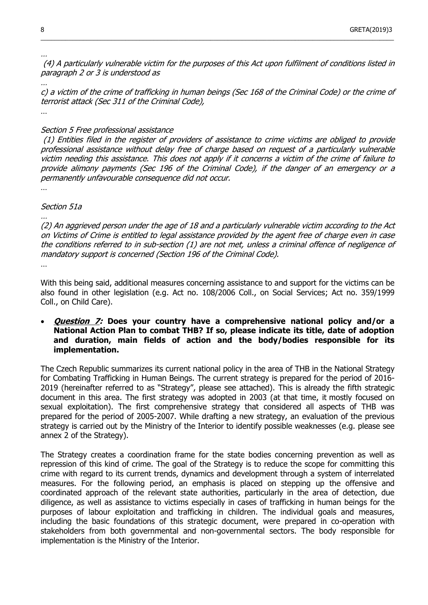(4) A particularly vulnerable victim for the purposes of this Act upon fulfilment of conditions listed in paragraph 2 or 3 is understood as

 $\_$  , and the set of the set of the set of the set of the set of the set of the set of the set of the set of the set of the set of the set of the set of the set of the set of the set of the set of the set of the set of th

c) a victim of the crime of trafficking in human beings (Sec 168 of the Criminal Code) or the crime of terrorist attack (Sec 311 of the Criminal Code),

…

 $\mathcal{L}$ 

#### Section 5 Free professional assistance

(1) Entities filed in the register of providers of assistance to crime victims are obliged to provide professional assistance without delay free of charge based on request of a particularly vulnerable victim needing this assistance. This does not apply if it concerns a victim of the crime of failure to provide alimony payments (Sec 196 of the Criminal Code), if the danger of an emergency or a permanently unfavourable consequence did not occur.

…

#### Section 51a

(2) An aggrieved person under the age of 18 and a particularly vulnerable victim according to the Act on Victims of Crime is entitled to legal assistance provided by the agent free of charge even in case the conditions referred to in sub-section (1) are not met, unless a criminal offence of negligence of mandatory support is concerned (Section 196 of the Criminal Code). …

With this being said, additional measures concerning assistance to and support for the victims can be also found in other legislation (e.g. Act no. 108/2006 Coll., on Social Services; Act no. 359/1999 Coll., on Child Care).

#### **Question 7: Does your country have a comprehensive national policy and/or a National Action Plan to combat THB? If so, please indicate its title, date of adoption and duration, main fields of action and the body/bodies responsible for its implementation.**

The Czech Republic summarizes its current national policy in the area of THB in the National Strategy for Combating Trafficking in Human Beings. The current strategy is prepared for the period of 2016- 2019 (hereinafter referred to as "Strategy", please see attached). This is already the fifth strategic document in this area. The first strategy was adopted in 2003 (at that time, it mostly focused on sexual exploitation). The first comprehensive strategy that considered all aspects of THB was prepared for the period of 2005-2007. While drafting a new strategy, an evaluation of the previous strategy is carried out by the Ministry of the Interior to identify possible weaknesses (e.g. please see annex 2 of the Strategy).

The Strategy creates a coordination frame for the state bodies concerning prevention as well as repression of this kind of crime. The goal of the Strategy is to reduce the scope for committing this crime with regard to its current trends, dynamics and development through a system of interrelated measures. For the following period, an emphasis is placed on stepping up the offensive and coordinated approach of the relevant state authorities, particularly in the area of detection, due diligence, as well as assistance to victims especially in cases of trafficking in human beings for the purposes of labour exploitation and trafficking in children. The individual goals and measures, including the basic foundations of this strategic document, were prepared in co-operation with stakeholders from both governmental and non-governmental sectors. The body responsible for implementation is the Ministry of the Interior.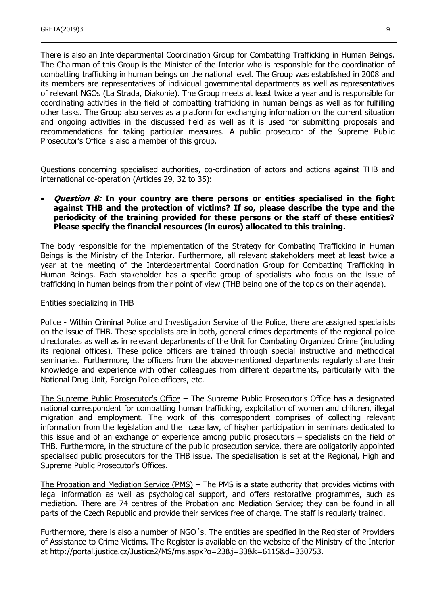There is also an Interdepartmental Coordination Group for Combatting Trafficking in Human Beings. The Chairman of this Group is the Minister of the Interior who is responsible for the coordination of combatting trafficking in human beings on the national level. The Group was established in 2008 and its members are representatives of individual governmental departments as well as representatives of relevant NGOs (La Strada, Diakonie). The Group meets at least twice a year and is responsible for coordinating activities in the field of combatting trafficking in human beings as well as for fulfilling other tasks. The Group also serves as a platform for exchanging information on the current situation and ongoing activities in the discussed field as well as it is used for submitting proposals and recommendations for taking particular measures. A public prosecutor of the Supreme Public Prosecutor's Office is also a member of this group.

Questions concerning specialised authorities, co-ordination of actors and actions against THB and international co-operation (Articles 29, 32 to 35):

#### **Question 8: In your country are there persons or entities specialised in the fight against THB and the protection of victims? If so, please describe the type and the periodicity of the training provided for these persons or the staff of these entities? Please specify the financial resources (in euros) allocated to this training.**

The body responsible for the implementation of the Strategy for Combating Trafficking in Human Beings is the Ministry of the Interior. Furthermore, all relevant stakeholders meet at least twice a year at the meeting of the Interdepartmental Coordination Group for Combatting Trafficking in Human Beings. Each stakeholder has a specific group of specialists who focus on the issue of trafficking in human beings from their point of view (THB being one of the topics on their agenda).

#### Entities specializing in THB

Police - Within Criminal Police and Investigation Service of the Police, there are assigned specialists on the issue of THB. These specialists are in both, general crimes departments of the regional police directorates as well as in relevant departments of the Unit for Combating Organized Crime (including its regional offices). These police officers are trained through special instructive and methodical seminaries. Furthermore, the officers from the above-mentioned departments regularly share their knowledge and experience with other colleagues from different departments, particularly with the National Drug Unit, Foreign Police officers, etc.

The Supreme Public Prosecutor's Office – The Supreme Public Prosecutor's Office has a designated national correspondent for combatting human trafficking, exploitation of women and children, illegal migration and employment. The work of this correspondent comprises of collecting relevant information from the legislation and the case law, of his/her participation in seminars dedicated to this issue and of an exchange of experience among public prosecutors – specialists on the field of THB. Furthermore, in the structure of the public prosecution service, there are obligatorily appointed specialised public prosecutors for the THB issue. The specialisation is set at the Regional, High and Supreme Public Prosecutor's Offices.

The Probation and Mediation Service (PMS) – The PMS is a state authority that provides victims with legal information as well as psychological support, and offers restorative programmes, such as mediation. There are 74 centres of the Probation and Mediation Service; they can be found in all parts of the Czech Republic and provide their services free of charge. The staff is regularly trained.

Furthermore, there is also a number of NGO´s. The entities are specified in the Register of Providers of Assistance to Crime Victims. The Register is available on the website of the Ministry of the Interior at [http://portal.justice.cz/Justice2/MS/ms.aspx?o=23&j=33&k=6115&d=330753.](http://portal.justice.cz/Justice2/MS/ms.aspx?o=23&j=33&k=6115&d=330753)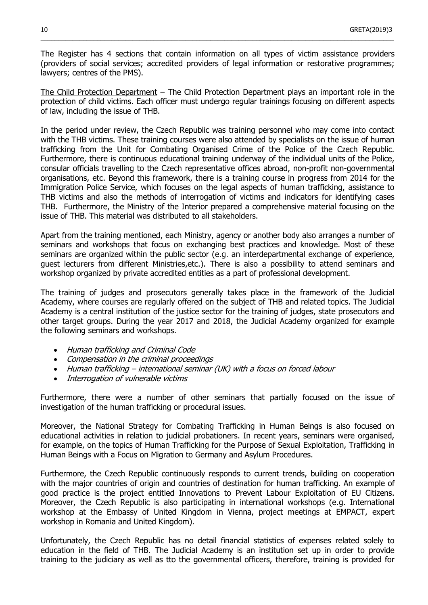The Register has 4 sections that contain information on all types of victim assistance providers (providers of social services; accredited providers of legal information or restorative programmes; lawyers; centres of the PMS).

 $\_$  , and the set of the set of the set of the set of the set of the set of the set of the set of the set of the set of the set of the set of the set of the set of the set of the set of the set of the set of the set of th

The Child Protection Department – The Child Protection Department plays an important role in the protection of child victims. Each officer must undergo regular trainings focusing on different aspects of law, including the issue of THB.

In the period under review, the Czech Republic was training personnel who may come into contact with the THB victims. These training courses were also attended by specialists on the issue of human trafficking from the Unit for Combating Organised Crime of the Police of the Czech Republic. Furthermore, there is continuous educational training underway of the individual units of the Police, consular officials travelling to the Czech representative offices abroad, non-profit non-governmental organisations, etc. Beyond this framework, there is a training course in progress from 2014 for the Immigration Police Service, which focuses on the legal aspects of human trafficking, assistance to THB victims and also the methods of interrogation of victims and indicators for identifying cases THB. Furthermore, the Ministry of the Interior prepared a comprehensive material focusing on the issue of THB. This material was distributed to all stakeholders.

Apart from the training mentioned, each Ministry, agency or another body also arranges a number of seminars and workshops that focus on exchanging best practices and knowledge. Most of these seminars are organized within the public sector (e.g. an interdepartmental exchange of experience, guest lecturers from different Ministries,etc.). There is also a possibility to attend seminars and workshop organized by private accredited entities as a part of professional development.

The training of judges and prosecutors generally takes place in the framework of the Judicial Academy, where courses are regularly offered on the subject of THB and related topics. The Judicial Academy is a central institution of the justice sector for the training of judges, state prosecutors and other target groups. During the year 2017 and 2018, the Judicial Academy organized for example the following seminars and workshops.

- Human trafficking and Criminal Code
- Compensation in the criminal proceedings
- Human trafficking international seminar (UK) with a focus on forced labour
- Interrogation of vulnerable victims

Furthermore, there were a number of other seminars that partially focused on the issue of investigation of the human trafficking or procedural issues.

Moreover, the National Strategy for Combating Trafficking in Human Beings is also focused on educational activities in relation to judicial probationers. In recent years, seminars were organised, for example, on the topics of Human Trafficking for the Purpose of Sexual Exploitation, Trafficking in Human Beings with a Focus on Migration to Germany and Asylum Procedures.

Furthermore, the Czech Republic continuously responds to current trends, building on cooperation with the major countries of origin and countries of destination for human trafficking. An example of good practice is the project entitled Innovations to Prevent Labour Exploitation of EU Citizens. Moreover, the Czech Republic is also participating in international workshops (e.g. International workshop at the Embassy of United Kingdom in Vienna, project meetings at EMPACT, expert workshop in Romania and United Kingdom).

Unfortunately, the Czech Republic has no detail financial statistics of expenses related solely to education in the field of THB. The Judicial Academy is an institution set up in order to provide training to the judiciary as well as tto the governmental officers, therefore, training is provided for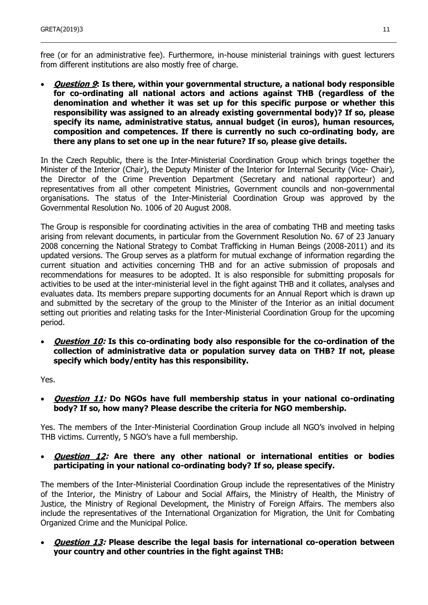free (or for an administrative fee). Furthermore, in-house ministerial trainings with guest lecturers from different institutions are also mostly free of charge.

 **Question 9: Is there, within your governmental structure, a national body responsible for co-ordinating all national actors and actions against THB (regardless of the denomination and whether it was set up for this specific purpose or whether this responsibility was assigned to an already existing governmental body)? If so, please specify its name, administrative status, annual budget (in euros), human resources, composition and competences. If there is currently no such co-ordinating body, are there any plans to set one up in the near future? If so, please give details.**

In the Czech Republic, there is the Inter-Ministerial Coordination Group which brings together the Minister of the Interior (Chair), the Deputy Minister of the Interior for Internal Security (Vice- Chair), the Director of the Crime Prevention Department (Secretary and national rapporteur) and representatives from all other competent Ministries, Government councils and non-governmental organisations. The status of the Inter-Ministerial Coordination Group was approved by the Governmental Resolution No. 1006 of 20 August 2008.

The Group is responsible for coordinating activities in the area of combating THB and meeting tasks arising from relevant documents, in particular from the Government Resolution No. 67 of 23 January 2008 concerning the National Strategy to Combat Trafficking in Human Beings (2008-2011) and its updated versions. The Group serves as a platform for mutual exchange of information regarding the current situation and activities concerning THB and for an active submission of proposals and recommendations for measures to be adopted. It is also responsible for submitting proposals for activities to be used at the inter-ministerial level in the fight against THB and it collates, analyses and evaluates data. Its members prepare supporting documents for an Annual Report which is drawn up and submitted by the secretary of the group to the Minister of the Interior as an initial document setting out priorities and relating tasks for the Inter-Ministerial Coordination Group for the upcoming period.

 **Question 10: Is this co-ordinating body also responsible for the co-ordination of the collection of administrative data or population survey data on THB? If not, please specify which body/entity has this responsibility.**

Yes.

 **Question 11: Do NGOs have full membership status in your national co-ordinating body? If so, how many? Please describe the criteria for NGO membership.**

Yes. The members of the Inter-Ministerial Coordination Group include all NGO's involved in helping THB victims. Currently, 5 NGO's have a full membership.

#### **Question 12: Are there any other national or international entities or bodies participating in your national co-ordinating body? If so, please specify.**

The members of the Inter-Ministerial Coordination Group include the representatives of the Ministry of the Interior, the Ministry of Labour and Social Affairs, the Ministry of Health, the Ministry of Justice, the Ministry of Regional Development, the Ministry of Foreign Affairs. The members also include the representatives of the International Organization for Migration, the Unit for Combating Organized Crime and the Municipal Police.

 **Question 13: Please describe the legal basis for international co-operation between your country and other countries in the fight against THB:**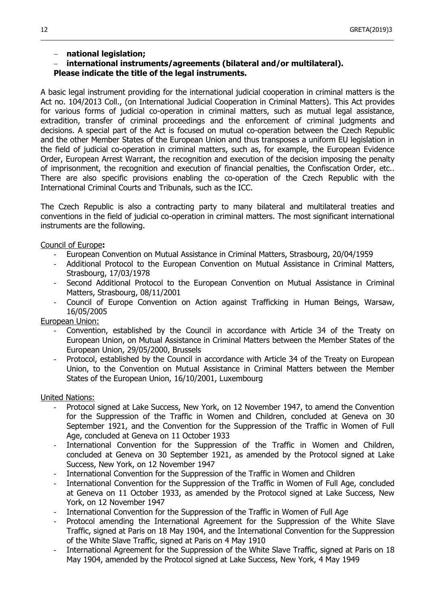# **national legislation;**

**international instruments/agreements (bilateral and/or multilateral).**

# **Please indicate the title of the legal instruments.**

A basic legal instrument providing for the international judicial cooperation in criminal matters is the Act no. 104/2013 Coll., (on International Judicial Cooperation in Criminal Matters). This Act provides for various forms of judicial co-operation in criminal matters, such as mutual legal assistance, extradition, transfer of criminal proceedings and the enforcement of criminal judgments and decisions. A special part of the Act is focused on mutual co-operation between the Czech Republic and the other Member States of the European Union and thus transposes a uniform EU legislation in the field of judicial co-operation in criminal matters, such as, for example, the European Evidence Order, European Arrest Warrant, the recognition and execution of the decision imposing the penalty of imprisonment, the recognition and execution of financial penalties, the Confiscation Order, etc.. There are also specific provisions enabling the co-operation of the Czech Republic with the International Criminal Courts and Tribunals, such as the ICC.

 $\_$  , and the set of the set of the set of the set of the set of the set of the set of the set of the set of the set of the set of the set of the set of the set of the set of the set of the set of the set of the set of th

The Czech Republic is also a contracting party to many bilateral and multilateral treaties and conventions in the field of judicial co-operation in criminal matters. The most significant international instruments are the following.

#### Council of Europe**:**

- European Convention on Mutual Assistance in Criminal Matters, Strasbourg, 20/04/1959
- Additional Protocol to the European Convention on Mutual Assistance in Criminal Matters, Strasbourg, 17/03/1978
- Second Additional Protocol to the European Convention on Mutual Assistance in Criminal Matters, Strasbourg, 08/11/2001
- Council of Europe Convention on Action against Trafficking in Human Beings, Warsaw, 16/05/2005

# European Union:

- Convention, established by the Council in accordance with Article 34 of the Treaty on European Union, on Mutual Assistance in Criminal Matters between the Member States of the European Union, 29/05/2000, Brussels
- Protocol, established by the Council in accordance with Article 34 of the Treaty on European Union, to the Convention on Mutual Assistance in Criminal Matters between the Member States of the European Union, 16/10/2001, Luxembourg

#### United Nations:

- Protocol signed at Lake Success, New York, on 12 November 1947, to amend the Convention for the Suppression of the Traffic in Women and Children, concluded at Geneva on 30 September 1921, and the Convention for the Suppression of the Traffic in Women of Full Age, concluded at Geneva on 11 October 1933
- International Convention for the Suppression of the Traffic in Women and Children, concluded at Geneva on 30 September 1921, as amended by the Protocol signed at Lake Success, New York, on 12 November 1947
- International Convention for the Suppression of the Traffic in Women and Children
- International Convention for the Suppression of the Traffic in Women of Full Age, concluded at Geneva on 11 October 1933, as amended by the Protocol signed at Lake Success, New York, on 12 November 1947
- International Convention for the Suppression of the Traffic in Women of Full Age
- Protocol amending the International Agreement for the Suppression of the White Slave Traffic, signed at Paris on 18 May 1904, and the International Convention for the Suppression of the White Slave Traffic, signed at Paris on 4 May 1910
- International Agreement for the Suppression of the White Slave Traffic, signed at Paris on 18 May 1904, amended by the Protocol signed at Lake Success, New York, 4 May 1949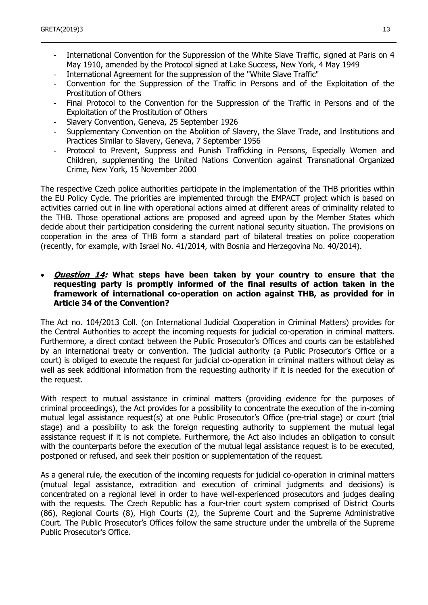- International Convention for the Suppression of the White Slave Traffic, signed at Paris on 4 May 1910, amended by the Protocol signed at Lake Success, New York, 4 May 1949
- International Agreement for the suppression of the "White Slave Traffic"
- Convention for the Suppression of the Traffic in Persons and of the Exploitation of the Prostitution of Others
- Final Protocol to the Convention for the Suppression of the Traffic in Persons and of the Exploitation of the Prostitution of Others
- Slavery Convention, Geneva, 25 September 1926
- Supplementary Convention on the Abolition of Slavery, the Slave Trade, and Institutions and Practices Similar to Slavery, Geneva, 7 September 1956
- Protocol to Prevent, Suppress and Punish Trafficking in Persons, Especially Women and Children, supplementing the United Nations Convention against Transnational Organized Crime, New York, 15 November 2000

The respective Czech police authorities participate in the implementation of the THB priorities within the EU Policy Cycle. The priorities are implemented through the EMPACT project which is based on activities carried out in line with operational actions aimed at different areas of criminality related to the THB. Those operational actions are proposed and agreed upon by the Member States which decide about their participation considering the current national security situation. The provisions on cooperation in the area of THB form a standard part of bilateral treaties on police cooperation (recently, for example, with Israel No. 41/2014, with Bosnia and Herzegovina No. 40/2014).

#### **Question 14: What steps have been taken by your country to ensure that the requesting party is promptly informed of the final results of action taken in the framework of international co-operation on action against THB, as provided for in Article 34 of the Convention?**

The Act no. 104/2013 Coll. (on International Judicial Cooperation in Criminal Matters) provides for the Central Authorities to accept the incoming requests for judicial co-operation in criminal matters. Furthermore, a direct contact between the Public Prosecutor's Offices and courts can be established by an international treaty or convention. The judicial authority (a Public Prosecutor's Office or a court) is obliged to execute the request for judicial co-operation in criminal matters without delay as well as seek additional information from the requesting authority if it is needed for the execution of the request.

With respect to mutual assistance in criminal matters (providing evidence for the purposes of criminal proceedings), the Act provides for a possibility to concentrate the execution of the in-coming mutual legal assistance request(s) at one Public Prosecutor's Office (pre-trial stage) or court (trial stage) and a possibility to ask the foreign requesting authority to supplement the mutual legal assistance request if it is not complete. Furthermore, the Act also includes an obligation to consult with the counterparts before the execution of the mutual legal assistance request is to be executed, postponed or refused, and seek their position or supplementation of the request.

As a general rule, the execution of the incoming requests for judicial co-operation in criminal matters (mutual legal assistance, extradition and execution of criminal judgments and decisions) is concentrated on a regional level in order to have well-experienced prosecutors and judges dealing with the requests. The Czech Republic has a four-trier court system comprised of District Courts (86), Regional Courts (8), High Courts (2), the Supreme Court and the Supreme Administrative Court. The Public Prosecutor's Offices follow the same structure under the umbrella of the Supreme Public Prosecutor's Office.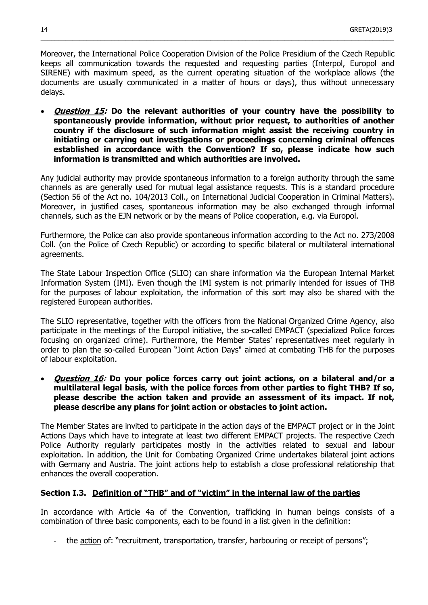Moreover, the International Police Cooperation Division of the Police Presidium of the Czech Republic keeps all communication towards the requested and requesting parties (Interpol, Europol and SIRENE) with maximum speed, as the current operating situation of the workplace allows (the documents are usually communicated in a matter of hours or days), thus without unnecessary delays.

 $\_$  , and the set of the set of the set of the set of the set of the set of the set of the set of the set of the set of the set of the set of the set of the set of the set of the set of the set of the set of the set of th

 **Question 15: Do the relevant authorities of your country have the possibility to spontaneously provide information, without prior request, to authorities of another country if the disclosure of such information might assist the receiving country in initiating or carrying out investigations or proceedings concerning criminal offences established in accordance with the Convention? If so, please indicate how such information is transmitted and which authorities are involved.**

Any judicial authority may provide spontaneous information to a foreign authority through the same channels as are generally used for mutual legal assistance requests. This is a standard procedure (Section 56 of the Act no. 104/2013 Coll., on International Judicial Cooperation in Criminal Matters). Moreover, in justified cases, spontaneous information may be also exchanged through informal channels, such as the EJN network or by the means of Police cooperation, e.g. via Europol.

Furthermore, the Police can also provide spontaneous information according to the Act no. 273/2008 Coll. (on the Police of Czech Republic) or according to specific bilateral or multilateral international agreements.

The State Labour Inspection Office (SLIO) can share information via the European Internal Market Information System (IMI). Even though the IMI system is not primarily intended for issues of THB for the purposes of labour exploitation, the information of this sort may also be shared with the registered European authorities.

The SLIO representative, together with the officers from the National Organized Crime Agency, also participate in the meetings of the Europol initiative, the so-called EMPACT (specialized Police forces focusing on organized crime). Furthermore, the Member States' representatives meet regularly in order to plan the so-called European "Joint Action Days" aimed at combating THB for the purposes of labour exploitation.

 **Question 16: Do your police forces carry out joint actions, on a bilateral and/or a multilateral legal basis, with the police forces from other parties to fight THB? If so, please describe the action taken and provide an assessment of its impact. If not, please describe any plans for joint action or obstacles to joint action.**

The Member States are invited to participate in the action days of the EMPACT project or in the Joint Actions Days which have to integrate at least two different EMPACT projects. The respective Czech Police Authority regularly participates mostly in the activities related to sexual and labour exploitation. In addition, the Unit for Combating Organized Crime undertakes bilateral joint actions with Germany and Austria. The joint actions help to establish a close professional relationship that enhances the overall cooperation.

#### **Section I.3. Definition of "THB" and of "victim" in the internal law of the parties**

In accordance with Article 4a of the Convention, trafficking in human beings consists of a combination of three basic components, each to be found in a list given in the definition:

the action of: "recruitment, transportation, transfer, harbouring or receipt of persons";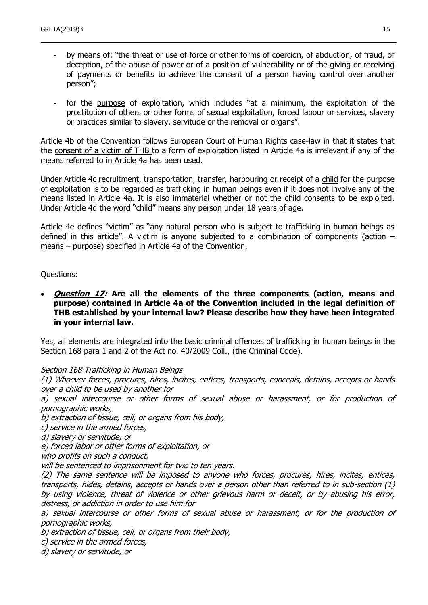- by means of: "the threat or use of force or other forms of coercion, of abduction, of fraud, of deception, of the abuse of power or of a position of vulnerability or of the giving or receiving of payments or benefits to achieve the consent of a person having control over another person";
- for the purpose of exploitation, which includes "at a minimum, the exploitation of the prostitution of others or other forms of sexual exploitation, forced labour or services, slavery or practices similar to slavery, servitude or the removal or organs".

Article 4b of the Convention follows European Court of Human Rights case-law in that it states that the consent of a victim of THB to a form of exploitation listed in Article 4a is irrelevant if any of the means referred to in Article 4a has been used.

Under Article 4c recruitment, transportation, transfer, harbouring or receipt of a child for the purpose of exploitation is to be regarded as trafficking in human beings even if it does not involve any of the means listed in Article 4a. It is also immaterial whether or not the child consents to be exploited. Under Article 4d the word "child" means any person under 18 years of age.

Article 4e defines "victim" as "any natural person who is subject to trafficking in human beings as defined in this article". A victim is anyone subjected to a combination of components (action – means – purpose) specified in Article 4a of the Convention.

Questions:

 **Question 17: Are all the elements of the three components (action, means and purpose) contained in Article 4a of the Convention included in the legal definition of THB established by your internal law? Please describe how they have been integrated in your internal law.**

Yes, all elements are integrated into the basic criminal offences of trafficking in human beings in the Section 168 para 1 and 2 of the Act no. 40/2009 Coll., (the Criminal Code).

Section 168 Trafficking in Human Beings

(1) Whoever forces, procures, hires, incites, entices, transports, conceals, detains, accepts or hands over a child to be used by another for

a) sexual intercourse or other forms of sexual abuse or harassment, or for production of pornographic works,

b) extraction of tissue, cell, or organs from his body,

c) service in the armed forces,

d) slavery or servitude, or

e) forced labor or other forms of exploitation, or

who profits on such a conduct,

will be sentenced to imprisonment for two to ten years.

(2) The same sentence will be imposed to anyone who forces, procures, hires, incites, entices, transports, hides, detains, accepts or hands over a person other than referred to in sub-section (1) by using violence, threat of violence or other grievous harm or deceit, or by abusing his error, distress, or addiction in order to use him for

a) sexual intercourse or other forms of sexual abuse or harassment, or for the production of pornographic works,

b) extraction of tissue, cell, or organs from their body,

c) service in the armed forces,

d) slavery or servitude, or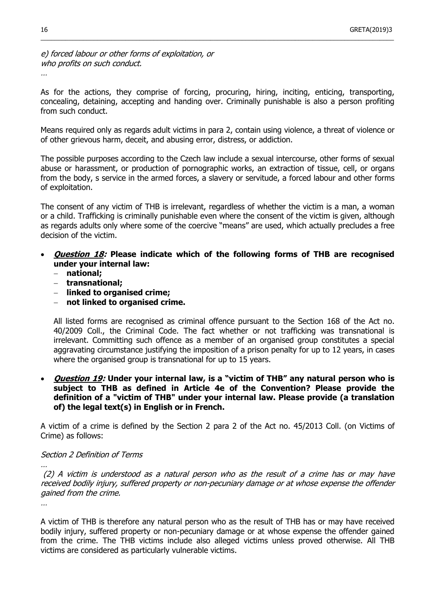e) forced labour or other forms of exploitation, or who profits on such conduct.

…

As for the actions, they comprise of forcing, procuring, hiring, inciting, enticing, transporting, concealing, detaining, accepting and handing over. Criminally punishable is also a person profiting from such conduct.

 $\_$  , and the set of the set of the set of the set of the set of the set of the set of the set of the set of the set of the set of the set of the set of the set of the set of the set of the set of the set of the set of th

Means required only as regards adult victims in para 2, contain using violence, a threat of violence or of other grievous harm, deceit, and abusing error, distress, or addiction.

The possible purposes according to the Czech law include a sexual intercourse, other forms of sexual abuse or harassment, or production of pornographic works, an extraction of tissue, cell, or organs from the body, s service in the armed forces, a slavery or servitude, a forced labour and other forms of exploitation.

The consent of any victim of THB is irrelevant, regardless of whether the victim is a man, a woman or a child. Trafficking is criminally punishable even where the consent of the victim is given, although as regards adults only where some of the coercive "means" are used, which actually precludes a free decision of the victim.

- **Question 18: Please indicate which of the following forms of THB are recognised under your internal law:**
	- **national;**
	- **transnational;**
	- **linked to organised crime;**
	- **not linked to organised crime.**

All listed forms are recognised as criminal offence pursuant to the Section 168 of the Act no. 40/2009 Coll., the Criminal Code. The fact whether or not trafficking was transnational is irrelevant. Committing such offence as a member of an organised group constitutes a special aggravating circumstance justifying the imposition of a prison penalty for up to 12 years, in cases where the organised group is transnational for up to 15 years.

 **Question 19: Under your internal law, is a "victim of THB" any natural person who is subject to THB as defined in Article 4e of the Convention? Please provide the definition of a "victim of THB" under your internal law. Please provide (a translation of) the legal text(s) in English or in French.**

A victim of a crime is defined by the Section 2 para 2 of the Act no. 45/2013 Coll. (on Victims of Crime) as follows:

#### Section 2 Definition of Terms

(2) A victim is understood as a natural person who as the result of a crime has or may have received bodily injury, suffered property or non-pecuniary damage or at whose expense the offender gained from the crime.

…

…

A victim of THB is therefore any natural person who as the result of THB has or may have received bodily injury, suffered property or non-pecuniary damage or at whose expense the offender gained from the crime. The THB victims include also alleged victims unless proved otherwise. All THB victims are considered as particularly vulnerable victims.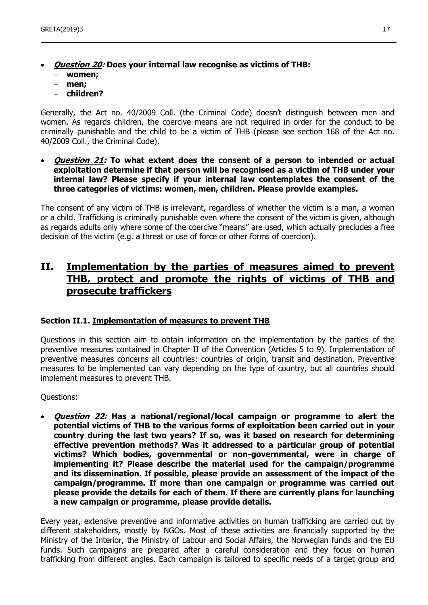- **Question 20: Does your internal law recognise as victims of THB: women;**
	- **men;**
	- **children?**

Generally, the Act no. 40/2009 Coll. (the Criminal Code) doesn't distinguish between men and women. As regards children, the coercive means are not required in order for the conduct to be criminally punishable and the child to be a victim of THB (please see section 168 of the Act no. 40/2009 Coll., the Criminal Code).

 **Question 21: To what extent does the consent of a person to intended or actual exploitation determine if that person will be recognised as a victim of THB under your internal law? Please specify if your internal law contemplates the consent of the three categories of victims: women, men, children. Please provide examples.** 

The consent of any victim of THB is irrelevant, regardless of whether the victim is a man, a woman or a child. Trafficking is criminally punishable even where the consent of the victim is given, although as regards adults only where some of the coercive "means" are used, which actually precludes a free decision of the victim (e.g. a threat or use of force or other forms of coercion).

# **II. Implementation by the parties of measures aimed to prevent THB, protect and promote the rights of victims of THB and prosecute traffickers**

#### **Section II.1. Implementation of measures to prevent THB**

Questions in this section aim to obtain information on the implementation by the parties of the preventive measures contained in Chapter II of the Convention (Articles 5 to 9). Implementation of preventive measures concerns all countries: countries of origin, transit and destination. Preventive measures to be implemented can vary depending on the type of country, but all countries should implement measures to prevent THB.

Questions:

 **Question 22: Has a national/regional/local campaign or programme to alert the potential victims of THB to the various forms of exploitation been carried out in your country during the last two years? If so, was it based on research for determining effective prevention methods? Was it addressed to a particular group of potential victims? Which bodies, governmental or non-governmental, were in charge of implementing it? Please describe the material used for the campaign/programme and its dissemination. If possible, please provide an assessment of the impact of the campaign/programme. If more than one campaign or programme was carried out please provide the details for each of them. If there are currently plans for launching a new campaign or programme, please provide details.**

Every year, extensive preventive and informative activities on human trafficking are carried out by different stakeholders, mostly by NGOs. Most of these activities are financially supported by the Ministry of the Interior, the Ministry of Labour and Social Affairs, the Norwegian funds and the EU funds. Such campaigns are prepared after a careful consideration and they focus on human trafficking from different angles. Each campaign is tailored to specific needs of a target group and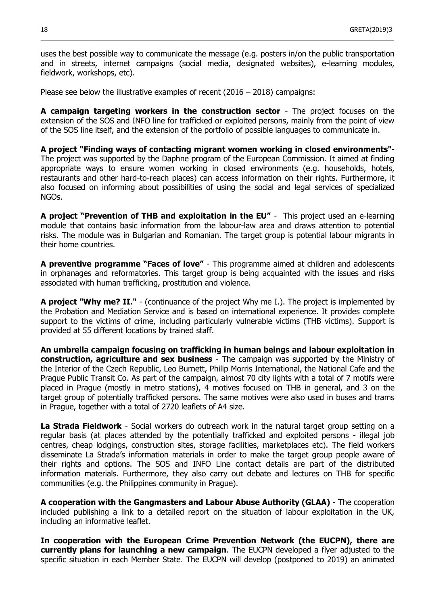uses the best possible way to communicate the message (e.g. posters in/on the public transportation and in streets, internet campaigns (social media, designated websites), e-learning modules, fieldwork, workshops, etc).

 $\_$  , and the set of the set of the set of the set of the set of the set of the set of the set of the set of the set of the set of the set of the set of the set of the set of the set of the set of the set of the set of th

Please see below the illustrative examples of recent (2016 – 2018) campaigns:

**A campaign targeting workers in the construction sector** - The project focuses on the extension of the SOS and INFO line for trafficked or exploited persons, mainly from the point of view of the SOS line itself, and the extension of the portfolio of possible languages to communicate in.

**A project "Finding ways of contacting migrant women working in closed environments"**- The project was supported by the Daphne program of the European Commission. It aimed at finding appropriate ways to ensure women working in closed environments (e.g. households, hotels, restaurants and other hard-to-reach places) can access information on their rights. Furthermore, it also focused on informing about possibilities of using the social and legal services of specialized NGOs.

**A project "Prevention of THB and exploitation in the EU"** - This project used an e-learning module that contains basic information from the labour-law area and draws attention to potential risks. The module was in Bulgarian and Romanian. The target group is potential labour migrants in their home countries.

**A preventive programme "Faces of love"** - This programme aimed at children and adolescents in orphanages and reformatories. This target group is being acquainted with the issues and risks associated with human trafficking, prostitution and violence.

**A project "Why me? II."** - (continuance of the project Why me I.). The project is implemented by the Probation and Mediation Service and is based on international experience. It provides complete support to the victims of crime, including particularly vulnerable victims (THB victims). Support is provided at 55 different locations by trained staff.

**An umbrella campaign focusing on trafficking in human beings and labour exploitation in construction, agriculture and sex business** - The campaign was supported by the Ministry of the Interior of the Czech Republic, Leo Burnett, Philip Morris International, the National Cafe and the Prague Public Transit Co. As part of the campaign, almost 70 city lights with a total of 7 motifs were placed in Prague (mostly in metro stations), 4 motives focused on THB in general, and 3 on the target group of potentially trafficked persons. The same motives were also used in buses and trams in Prague, together with a total of 2720 leaflets of A4 size.

**La Strada Fieldwork** - Social workers do outreach work in the natural target group setting on a regular basis (at places attended by the potentially trafficked and exploited persons - illegal job centres, cheap lodgings, construction sites, storage facilities, marketplaces etc). The field workers disseminate La Strada's information materials in order to make the target group people aware of their rights and options. The SOS and INFO Line contact details are part of the distributed information materials. Furthermore, they also carry out debate and lectures on THB for specific communities (e.g. the Philippines community in Prague).

**A cooperation with the Gangmasters and Labour Abuse Authority (GLAA)** - The cooperation included publishing a link to a detailed report on the situation of labour exploitation in the UK, including an informative leaflet.

**In cooperation with the European Crime Prevention Network (the EUCPN), there are currently plans for launching a new campaign**. The EUCPN developed a flyer adjusted to the specific situation in each Member State. The EUCPN will develop (postponed to 2019) an animated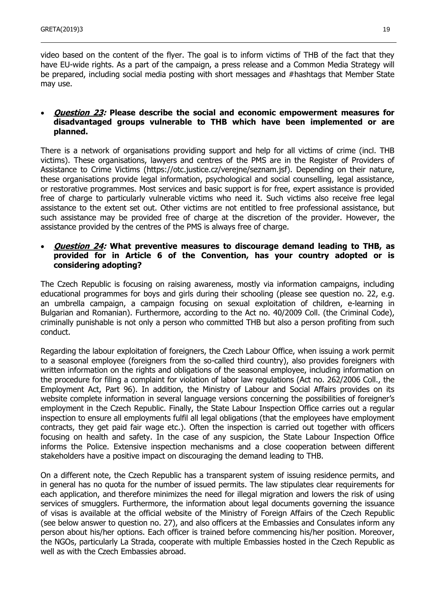video based on the content of the flyer. The goal is to inform victims of THB of the fact that they have EU-wide rights. As a part of the campaign, a press release and a Common Media Strategy will be prepared, including social media posting with short messages and #hashtags that Member State may use.

# **Question 23: Please describe the social and economic empowerment measures for disadvantaged groups vulnerable to THB which have been implemented or are planned.**

There is a network of organisations providing support and help for all victims of crime (incl. THB victims). These organisations, lawyers and centres of the PMS are in the Register of Providers of Assistance to Crime Victims (https://otc.justice.cz/verejne/seznam.jsf). Depending on their nature, these organisations provide legal information, psychological and social counselling, legal assistance, or restorative programmes. Most services and basic support is for free, expert assistance is provided free of charge to particularly vulnerable victims who need it. Such victims also receive free legal assistance to the extent set out. Other victims are not entitled to free professional assistance, but such assistance may be provided free of charge at the discretion of the provider. However, the assistance provided by the centres of the PMS is always free of charge.

#### **Question 24: What preventive measures to discourage demand leading to THB, as provided for in Article 6 of the Convention, has your country adopted or is considering adopting?**

The Czech Republic is focusing on raising awareness, mostly via information campaigns, including educational programmes for boys and girls during their schooling (please see question no. 22, e.g. an umbrella campaign, a campaign focusing on sexual exploitation of children, e-learning in Bulgarian and Romanian). Furthermore, according to the Act no. 40/2009 Coll. (the Criminal Code), criminally punishable is not only a person who committed THB but also a person profiting from such conduct.

Regarding the labour exploitation of foreigners, the Czech Labour Office, when issuing a work permit to a seasonal employee (foreigners from the so-called third country), also provides foreigners with written information on the rights and obligations of the seasonal employee, including information on the procedure for filing a complaint for violation of labor law regulations (Act no. 262/2006 Coll., the Employment Act, Part 96). In addition, the Ministry of Labour and Social Affairs provides on its website complete information in several language versions concerning the possibilities of foreigner's employment in the Czech Republic. Finally, the State Labour Inspection Office carries out a regular inspection to ensure all employments fulfil all legal obligations (that the employees have employment contracts, they get paid fair wage etc.). Often the inspection is carried out together with officers focusing on health and safety. In the case of any suspicion, the State Labour Inspection Office informs the Police. Extensive inspection mechanisms and a close cooperation between different stakeholders have a positive impact on discouraging the demand leading to THB.

On a different note, the Czech Republic has a transparent system of issuing residence permits, and in general has no quota for the number of issued permits. The law stipulates clear requirements for each application, and therefore minimizes the need for illegal migration and lowers the risk of using services of smugglers. Furthermore, the information about legal documents governing the issuance of visas is available at the official website of the Ministry of Foreign Affairs of the Czech Republic (see below answer to question no. 27), and also officers at the Embassies and Consulates inform any person about his/her options. Each officer is trained before commencing his/her position. Moreover, the NGOs, particularly La Strada, cooperate with multiple Embassies hosted in the Czech Republic as well as with the Czech Embassies abroad.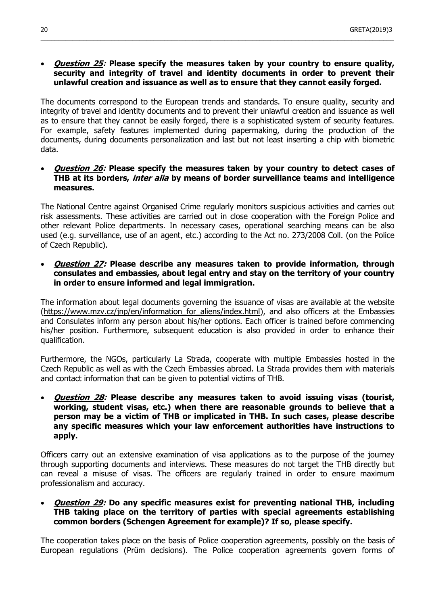#### **Question 25: Please specify the measures taken by your country to ensure quality, security and integrity of travel and identity documents in order to prevent their unlawful creation and issuance as well as to ensure that they cannot easily forged.**

 $\_$  , and the set of the set of the set of the set of the set of the set of the set of the set of the set of the set of the set of the set of the set of the set of the set of the set of the set of the set of the set of th

The documents correspond to the European trends and standards. To ensure quality, security and integrity of travel and identity documents and to prevent their unlawful creation and issuance as well as to ensure that they cannot be easily forged, there is a sophisticated system of security features. For example, safety features implemented during papermaking, during the production of the documents, during documents personalization and last but not least inserting a chip with biometric data.

#### **Question 26: Please specify the measures taken by your country to detect cases of THB at its borders, inter alia by means of border surveillance teams and intelligence measures.**

The National Centre against Organised Crime regularly monitors suspicious activities and carries out risk assessments. These activities are carried out in close cooperation with the Foreign Police and other relevant Police departments. In necessary cases, operational searching means can be also used (e.g. surveillance, use of an agent, etc.) according to the Act no. 273/2008 Coll. (on the Police of Czech Republic).

### **Question 27: Please describe any measures taken to provide information, through consulates and embassies, about legal entry and stay on the territory of your country in order to ensure informed and legal immigration.**

The information about legal documents governing the issuance of visas are available at the website (https://www.mzv.cz/jnp/en/information for aliens/index.html), and also officers at the Embassies and Consulates inform any person about his/her options. Each officer is trained before commencing his/her position. Furthermore, subsequent education is also provided in order to enhance their qualification.

Furthermore, the NGOs, particularly La Strada, cooperate with multiple Embassies hosted in the Czech Republic as well as with the Czech Embassies abroad. La Strada provides them with materials and contact information that can be given to potential victims of THB.

# **Question 28: Please describe any measures taken to avoid issuing visas (tourist, working, student visas, etc.) when there are reasonable grounds to believe that a person may be a victim of THB or implicated in THB. In such cases, please describe any specific measures which your law enforcement authorities have instructions to apply.**

Officers carry out an extensive examination of visa applications as to the purpose of the journey through supporting documents and interviews. These measures do not target the THB directly but can reveal a misuse of visas. The officers are regularly trained in order to ensure maximum professionalism and accuracy.

### **Question 29: Do any specific measures exist for preventing national THB, including THB taking place on the territory of parties with special agreements establishing common borders (Schengen Agreement for example)? If so, please specify.**

The cooperation takes place on the basis of Police cooperation agreements, possibly on the basis of European regulations (Prüm decisions). The Police cooperation agreements govern forms of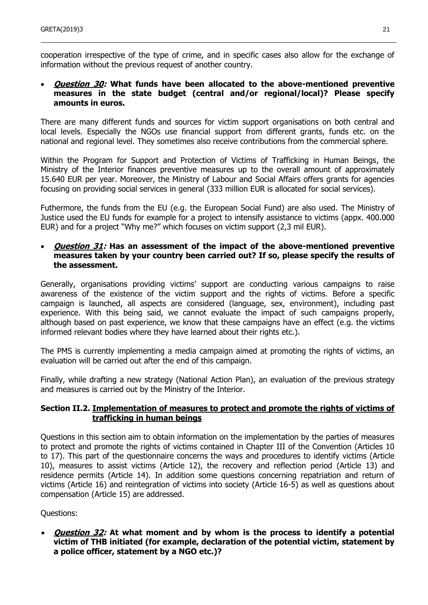cooperation irrespective of the type of crime, and in specific cases also allow for the exchange of information without the previous request of another country.

#### **Question 30: What funds have been allocated to the above-mentioned preventive measures in the state budget (central and/or regional/local)? Please specify amounts in euros.**

There are many different funds and sources for victim support organisations on both central and local levels. Especially the NGOs use financial support from different grants, funds etc. on the national and regional level. They sometimes also receive contributions from the commercial sphere.

Within the Program for Support and Protection of Victims of Trafficking in Human Beings, the Ministry of the Interior finances preventive measures up to the overall amount of approximately 15.640 EUR per year. Moreover, the Ministry of Labour and Social Affairs offers grants for agencies focusing on providing social services in general (333 million EUR is allocated for social services).

Futhermore, the funds from the EU (e.g. the European Social Fund) are also used. The Ministry of Justice used the EU funds for example for a project to intensify assistance to victims (appx. 400.000 EUR) and for a project "Why me?" which focuses on victim support (2,3 mil EUR).

#### **Question 31: Has an assessment of the impact of the above-mentioned preventive measures taken by your country been carried out? If so, please specify the results of the assessment.**

Generally, organisations providing victims' support are conducting various campaigns to raise awareness of the existence of the victim support and the rights of victims. Before a specific campaign is launched, all aspects are considered (language, sex, environment), including past experience. With this being said, we cannot evaluate the impact of such campaigns properly, although based on past experience, we know that these campaigns have an effect (e.g. the victims informed relevant bodies where they have learned about their rights etc.).

The PMS is currently implementing a media campaign aimed at promoting the rights of victims, an evaluation will be carried out after the end of this campaign.

Finally, while drafting a new strategy (National Action Plan), an evaluation of the previous strategy and measures is carried out by the Ministry of the Interior.

# **Section II.2. Implementation of measures to protect and promote the rights of victims of trafficking in human beings**

Questions in this section aim to obtain information on the implementation by the parties of measures to protect and promote the rights of victims contained in Chapter III of the Convention (Articles 10 to 17). This part of the questionnaire concerns the ways and procedures to identify victims (Article 10), measures to assist victims (Article 12), the recovery and reflection period (Article 13) and residence permits (Article 14). In addition some questions concerning repatriation and return of victims (Article 16) and reintegration of victims into society (Article 16-5) as well as questions about compensation (Article 15) are addressed.

Questions:

 **Question 32: At what moment and by whom is the process to identify a potential victim of THB initiated (for example, declaration of the potential victim, statement by a police officer, statement by a NGO etc.)?**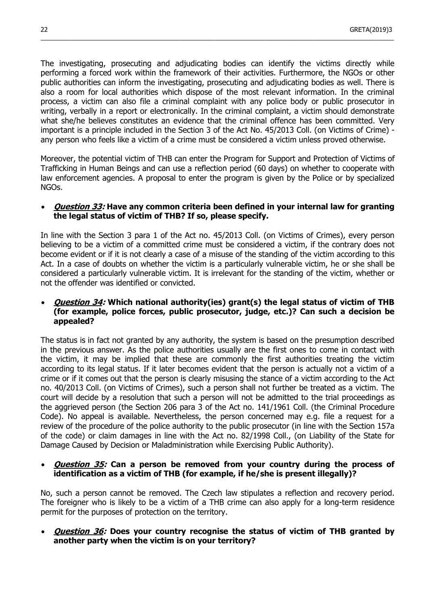The investigating, prosecuting and adjudicating bodies can identify the victims directly while performing a forced work within the framework of their activities. Furthermore, the NGOs or other public authorities can inform the investigating, prosecuting and adjudicating bodies as well. There is also a room for local authorities which dispose of the most relevant information. In the criminal process, a victim can also file a criminal complaint with any police body or public prosecutor in writing, verbally in a report or electronically. In the criminal complaint, a victim should demonstrate what she/he believes constitutes an evidence that the criminal offence has been committed. Very important is a principle included in the Section 3 of the Act No. 45/2013 Coll. (on Victims of Crime) any person who feels like a victim of a crime must be considered a victim unless proved otherwise.

 $\_$  , and the set of the set of the set of the set of the set of the set of the set of the set of the set of the set of the set of the set of the set of the set of the set of the set of the set of the set of the set of th

Moreover, the potential victim of THB can enter the Program for Support and Protection of Victims of Trafficking in Human Beings and can use a reflection period (60 days) on whether to cooperate with law enforcement agencies. A proposal to enter the program is given by the Police or by specialized NGOs.

#### **Question 33: Have any common criteria been defined in your internal law for granting the legal status of victim of THB? If so, please specify.**

In line with the Section 3 para 1 of the Act no. 45/2013 Coll. (on Victims of Crimes), every person believing to be a victim of a committed crime must be considered a victim, if the contrary does not become evident or if it is not clearly a case of a misuse of the standing of the victim according to this Act. In a case of doubts on whether the victim is a particularly vulnerable victim, he or she shall be considered a particularly vulnerable victim. It is irrelevant for the standing of the victim, whether or not the offender was identified or convicted.

#### **Question 34: Which national authority(ies) grant(s) the legal status of victim of THB (for example, police forces, public prosecutor, judge, etc.)? Can such a decision be appealed?**

The status is in fact not granted by any authority, the system is based on the presumption described in the previous answer. As the police authorities usually are the first ones to come in contact with the victim, it may be implied that these are commonly the first authorities treating the victim according to its legal status. If it later becomes evident that the person is actually not a victim of a crime or if it comes out that the person is clearly misusing the stance of a victim according to the Act no. 40/2013 Coll. (on Victims of Crimes), such a person shall not further be treated as a victim. The court will decide by a resolution that such a person will not be admitted to the trial proceedings as the aggrieved person (the Section 206 para 3 of the Act no. 141/1961 Coll. (the Criminal Procedure Code). No appeal is available. Nevertheless, the person concerned may e.g. file a request for a review of the procedure of the police authority to the public prosecutor (in line with the Section 157a of the code) or claim damages in line with the Act no. 82/1998 Coll., (on Liability of the State for Damage Caused by Decision or Maladministration while Exercising Public Authority).

# **Question 35: Can a person be removed from your country during the process of identification as a victim of THB (for example, if he/she is present illegally)?**

No, such a person cannot be removed. The Czech law stipulates a reflection and recovery period. The foreigner who is likely to be a victim of a THB crime can also apply for a long-term residence permit for the purposes of protection on the territory.

# **Question 36: Does your country recognise the status of victim of THB granted by another party when the victim is on your territory?**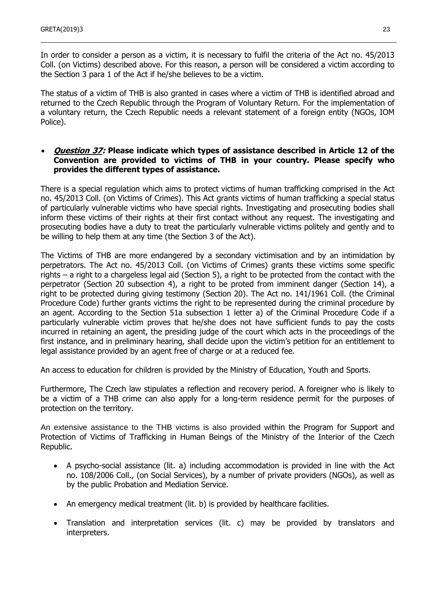In order to consider a person as a victim, it is necessary to fulfil the criteria of the Act no. 45/2013 Coll. (on Victims) described above. For this reason, a person will be considered a victim according to the Section 3 para 1 of the Act if he/she believes to be a victim.

The status of a victim of THB is also granted in cases where a victim of THB is identified abroad and returned to the Czech Republic through the Program of Voluntary Return. For the implementation of a voluntary return, the Czech Republic needs a relevant statement of a foreign entity (NGOs, IOM Police).

#### **Question 37: Please indicate which types of assistance described in Article 12 of the Convention are provided to victims of THB in your country. Please specify who provides the different types of assistance.**

There is a special regulation which aims to protect victims of human trafficking comprised in the Act no. 45/2013 Coll. (on Victims of Crimes). This Act grants victims of human trafficking a special status of particularly vulnerable victims who have special rights. Investigating and prosecuting bodies shall inform these victims of their rights at their first contact without any request. The investigating and prosecuting bodies have a duty to treat the particularly vulnerable victims politely and gently and to be willing to help them at any time (the Section 3 of the Act).

The Victims of THB are more endangered by a secondary victimisation and by an intimidation by perpetrators. The Act no. 45/2013 Coll. (on Victims of Crimes) grants these victims some specific rights – a right to a chargeless legal aid (Section 5), a right to be protected from the contact with the perpetrator (Section 20 subsection 4), a right to be proted from imminent danger (Section 14), a right to be protected during giving testimony (Section 20). The Act no. 141/1961 Coll. (the Criminal Procedure Code) further grants victims the right to be represented during the criminal procedure by an agent. According to the Section 51a subsection 1 letter a) of the Criminal Procedure Code if a particularly vulnerable victim proves that he/she does not have sufficient funds to pay the costs incurred in retaining an agent, the presiding judge of the court which acts in the proceedings of the first instance, and in preliminary hearing, shall decide upon the victim's petition for an entitlement to legal assistance provided by an agent free of charge or at a reduced fee.

An access to education for children is provided by the Ministry of Education, Youth and Sports.

Furthermore, The Czech law stipulates a reflection and recovery period. A foreigner who is likely to be a victim of a THB crime can also apply for a long-term residence permit for the purposes of protection on the territory.

An extensive assistance to the THB victims is also provided within the Program for Support and Protection of Victims of Trafficking in Human Beings of the Ministry of the Interior of the Czech Republic.

- A psycho-social assistance (lit. a) including accommodation is provided in line with the Act no. 108/2006 Coll., (on Social Services), by a number of private providers (NGOs), as well as by the public Probation and Mediation Service.
- An emergency medical treatment (lit. b) is provided by healthcare facilities.
- Translation and interpretation services (lit. c) may be provided by translators and interpreters.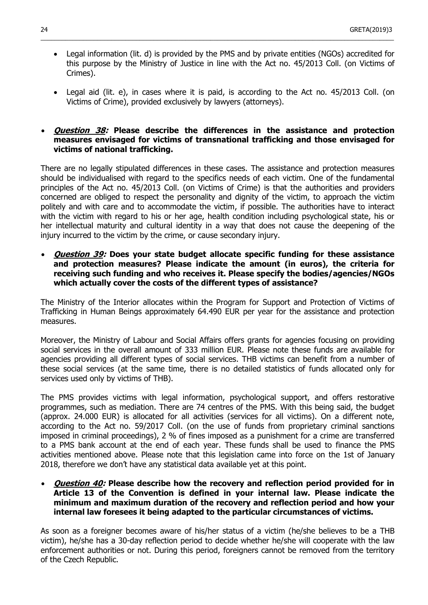Legal information (lit. d) is provided by the PMS and by private entities (NGOs) accredited for this purpose by the Ministry of Justice in line with the Act no. 45/2013 Coll. (on Victims of Crimes).

 $\_$  , and the set of the set of the set of the set of the set of the set of the set of the set of the set of the set of the set of the set of the set of the set of the set of the set of the set of the set of the set of th

 Legal aid (lit. e), in cases where it is paid, is according to the Act no. 45/2013 Coll. (on Victims of Crime), provided exclusively by lawyers (attorneys).

### **Question 38: Please describe the differences in the assistance and protection measures envisaged for victims of transnational trafficking and those envisaged for victims of national trafficking.**

There are no legally stipulated differences in these cases. The assistance and protection measures should be individualised with regard to the specifics needs of each victim. One of the fundamental principles of the Act no. 45/2013 Coll. (on Victims of Crime) is that the authorities and providers concerned are obliged to respect the personality and dignity of the victim, to approach the victim politely and with care and to accommodate the victim, if possible. The authorities have to interact with the victim with regard to his or her age, health condition including psychological state, his or her intellectual maturity and cultural identity in a way that does not cause the deepening of the injury incurred to the victim by the crime, or cause secondary injury.

 **Question 39: Does your state budget allocate specific funding for these assistance and protection measures? Please indicate the amount (in euros), the criteria for receiving such funding and who receives it. Please specify the bodies/agencies/NGOs which actually cover the costs of the different types of assistance?** 

The Ministry of the Interior allocates within the Program for Support and Protection of Victims of Trafficking in Human Beings approximately 64.490 EUR per year for the assistance and protection measures.

Moreover, the Ministry of Labour and Social Affairs offers grants for agencies focusing on providing social services in the overall amount of 333 million EUR. Please note these funds are available for agencies providing all different types of social services. THB victims can benefit from a number of these social services (at the same time, there is no detailed statistics of funds allocated only for services used only by victims of THB).

The PMS provides victims with legal information, psychological support, and offers restorative programmes, such as mediation. There are 74 centres of the PMS. With this being said, the budget (approx. 24.000 EUR) is allocated for all activities (services for all victims). On a different note, according to the Act no. 59/2017 Coll. (on the use of funds from proprietary criminal sanctions imposed in criminal proceedings), 2 % of fines imposed as a punishment for a crime are transferred to a PMS bank account at the end of each year. These funds shall be used to finance the PMS activities mentioned above. Please note that this legislation came into force on the 1st of January 2018, therefore we don't have any statistical data available yet at this point.

 **Question 40: Please describe how the recovery and reflection period provided for in Article 13 of the Convention is defined in your internal law. Please indicate the minimum and maximum duration of the recovery and reflection period and how your internal law foresees it being adapted to the particular circumstances of victims.**

As soon as a foreigner becomes aware of his/her status of a victim (he/she believes to be a THB victim), he/she has a 30-day reflection period to decide whether he/she will cooperate with the law enforcement authorities or not. During this period, foreigners cannot be removed from the territory of the Czech Republic.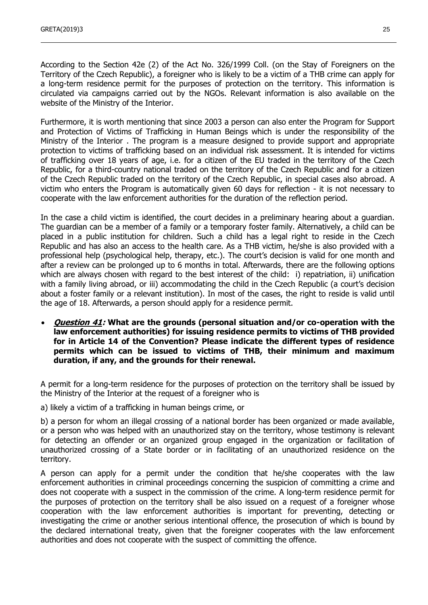According to the Section 42e (2) of the Act No. 326/1999 Coll. (on the Stay of Foreigners on the Territory of the Czech Republic), a foreigner who is likely to be a victim of a THB crime can apply for a long-term residence permit for the purposes of protection on the territory. This information is circulated via campaigns carried out by the NGOs. Relevant information is also available on the website of the Ministry of the Interior.

Furthermore, it is worth mentioning that since 2003 a person can also enter the Program for Support and Protection of Victims of Trafficking in Human Beings which is under the responsibility of the Ministry of the Interior . The program is a measure designed to provide support and appropriate protection to victims of trafficking based on an individual risk assessment. It is intended for victims of trafficking over 18 years of age, i.e. for a citizen of the EU traded in the territory of the Czech Republic, for a third-country national traded on the territory of the Czech Republic and for a citizen of the Czech Republic traded on the territory of the Czech Republic, in special cases also abroad. A victim who enters the Program is automatically given 60 days for reflection - it is not necessary to cooperate with the law enforcement authorities for the duration of the reflection period.

In the case a child victim is identified, the court decides in a preliminary hearing about a guardian. The guardian can be a member of a family or a temporary foster family. Alternatively, a child can be placed in a public institution for children. Such a child has a legal right to reside in the Czech Republic and has also an access to the health care. As a THB victim, he/she is also provided with a professional help (psychological help, therapy, etc.). The court's decision is valid for one month and after a review can be prolonged up to 6 months in total. Afterwards, there are the following options which are always chosen with regard to the best interest of the child: i) repatriation, ii) unification with a family living abroad, or iii) accommodating the child in the Czech Republic (a court's decision about a foster family or a relevant institution). In most of the cases, the right to reside is valid until the age of 18. Afterwards, a person should apply for a residence permit.

 **Question 41: What are the grounds (personal situation and/or co-operation with the law enforcement authorities) for issuing residence permits to victims of THB provided for in Article 14 of the Convention? Please indicate the different types of residence permits which can be issued to victims of THB, their minimum and maximum duration, if any, and the grounds for their renewal.** 

A permit for a long-term residence for the purposes of protection on the territory shall be issued by the Ministry of the Interior at the request of a foreigner who is

a) likely a victim of a trafficking in human beings crime, or

b) a person for whom an illegal crossing of a national border has been organized or made available, or a person who was helped with an unauthorized stay on the territory, whose testimony is relevant for detecting an offender or an organized group engaged in the organization or facilitation of unauthorized crossing of a State border or in facilitating of an unauthorized residence on the territory.

A person can apply for a permit under the condition that he/she cooperates with the law enforcement authorities in criminal proceedings concerning the suspicion of committing a crime and does not cooperate with a suspect in the commission of the crime. A long-term residence permit for the purposes of protection on the territory shall be also issued on a request of a foreigner whose cooperation with the law enforcement authorities is important for preventing, detecting or investigating the crime or another serious intentional offence, the prosecution of which is bound by the declared international treaty, given that the foreigner cooperates with the law enforcement authorities and does not cooperate with the suspect of committing the offence.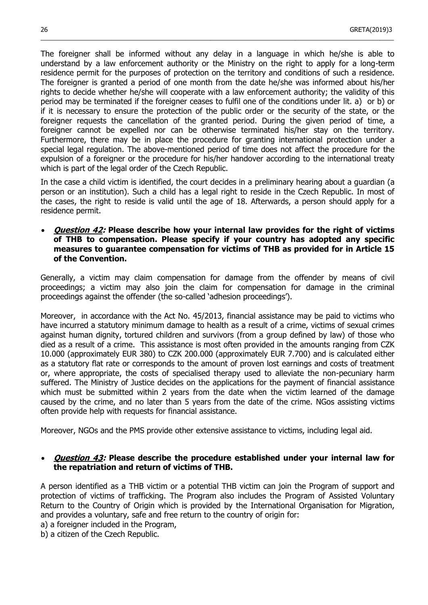The foreigner shall be informed without any delay in a language in which he/she is able to understand by a law enforcement authority or the Ministry on the right to apply for a long-term residence permit for the purposes of protection on the territory and conditions of such a residence. The foreigner is granted a period of one month from the date he/she was informed about his/her rights to decide whether he/she will cooperate with a law enforcement authority; the validity of this period may be terminated if the foreigner ceases to fulfil one of the conditions under lit. a) or b) or if it is necessary to ensure the protection of the public order or the security of the state, or the foreigner requests the cancellation of the granted period. During the given period of time, a foreigner cannot be expelled nor can be otherwise terminated his/her stay on the territory. Furthermore, there may be in place the procedure for granting international protection under a special legal regulation. The above-mentioned period of time does not affect the procedure for the expulsion of a foreigner or the procedure for his/her handover according to the international treaty which is part of the legal order of the Czech Republic.

 $\_$  , and the set of the set of the set of the set of the set of the set of the set of the set of the set of the set of the set of the set of the set of the set of the set of the set of the set of the set of the set of th

In the case a child victim is identified, the court decides in a preliminary hearing about a guardian (a person or an institution). Such a child has a legal right to reside in the Czech Republic. In most of the cases, the right to reside is valid until the age of 18. Afterwards, a person should apply for a residence permit.

 **Question 42: Please describe how your internal law provides for the right of victims of THB to compensation. Please specify if your country has adopted any specific measures to guarantee compensation for victims of THB as provided for in Article 15 of the Convention.**

Generally, a victim may claim compensation for damage from the offender by means of civil proceedings; a victim may also join the claim for compensation for damage in the criminal proceedings against the offender (the so-called 'adhesion proceedings').

Moreover, in accordance with the Act No. 45/2013, financial assistance may be paid to victims who have incurred a statutory minimum damage to health as a result of a crime, victims of sexual crimes against human dignity, tortured children and survivors (from a group defined by law) of those who died as a result of a crime. This assistance is most often provided in the amounts ranging from CZK 10.000 (approximately EUR 380) to CZK 200.000 (approximately EUR 7.700) and is calculated either as a statutory flat rate or corresponds to the amount of proven lost earnings and costs of treatment or, where appropriate, the costs of specialised therapy used to alleviate the non-pecuniary harm suffered. The Ministry of Justice decides on the applications for the payment of financial assistance which must be submitted within 2 years from the date when the victim learned of the damage caused by the crime, and no later than 5 years from the date of the crime. NGos assisting victims often provide help with requests for financial assistance.

Moreover, NGOs and the PMS provide other extensive assistance to victims, including legal aid.

#### **Question 43: Please describe the procedure established under your internal law for the repatriation and return of victims of THB.**

A person identified as a THB victim or a potential THB victim can join the Program of support and protection of victims of trafficking. The Program also includes the Program of Assisted Voluntary Return to the Country of Origin which is provided by the International Organisation for Migration, and provides a voluntary, safe and free return to the country of origin for:

a) a foreigner included in the Program,

b) a citizen of the Czech Republic.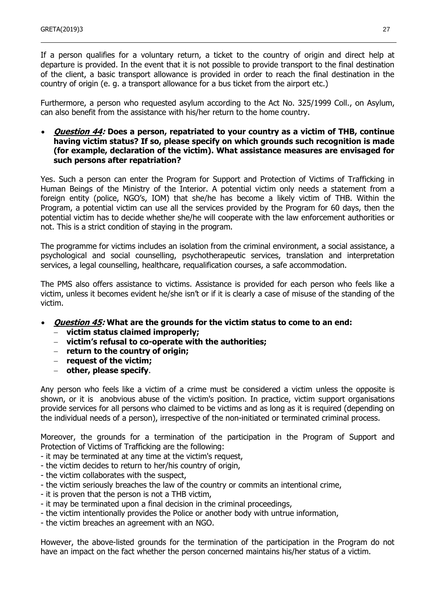If a person qualifies for a voluntary return, a ticket to the country of origin and direct help at departure is provided. In the event that it is not possible to provide transport to the final destination of the client, a basic transport allowance is provided in order to reach the final destination in the country of origin (e. g. a transport allowance for a bus ticket from the airport etc.)

Furthermore, a person who requested asylum according to the Act No. 325/1999 Coll., on Asylum, can also benefit from the assistance with his/her return to the home country.

#### **Question 44: Does a person, repatriated to your country as a victim of THB, continue having victim status? If so, please specify on which grounds such recognition is made (for example, declaration of the victim). What assistance measures are envisaged for such persons after repatriation?**

Yes. Such a person can enter the Program for Support and Protection of Victims of Trafficking in Human Beings of the Ministry of the Interior. A potential victim only needs a statement from a foreign entity (police, NGO's, IOM) that she/he has become a likely victim of THB. Within the Program, a potential victim can use all the services provided by the Program for 60 days, then the potential victim has to decide whether she/he will cooperate with the law enforcement authorities or not. This is a strict condition of staying in the program.

The programme for victims includes an isolation from the criminal environment, a social assistance, a psychological and social counselling, psychotherapeutic services, translation and interpretation services, a legal counselling, healthcare, requalification courses, a safe accommodation.

The PMS also offers assistance to victims. Assistance is provided for each person who feels like a victim, unless it becomes evident he/she isn't or if it is clearly a case of misuse of the standing of the victim.

- **Question 45: What are the grounds for the victim status to come to an end:**
	- **victim status claimed improperly;**
	- **victim's refusal to co-operate with the authorities;**
	- **return to the country of origin;**
	- **request of the victim;**
	- **other, please specify**.

Any person who feels like a victim of a crime must be considered a victim unless the opposite is shown, or it is anobvious abuse of the victim's position. In practice, victim support organisations provide services for all persons who claimed to be victims and as long as it is required (depending on the individual needs of a person), irrespective of the non-initiated or terminated criminal process.

Moreover, the grounds for a termination of the participation in the Program of Support and Protection of Victims of Trafficking are the following:

- it may be terminated at any time at the victim's request,
- the victim decides to return to her/his country of origin,
- the victim collaborates with the suspect,
- the victim seriously breaches the law of the country or commits an intentional crime,
- it is proven that the person is not a THB victim,
- it may be terminated upon a final decision in the criminal proceedings,
- the victim intentionally provides the Police or another body with untrue information,
- the victim breaches an agreement with an NGO.

However, the above-listed grounds for the termination of the participation in the Program do not have an impact on the fact whether the person concerned maintains his/her status of a victim.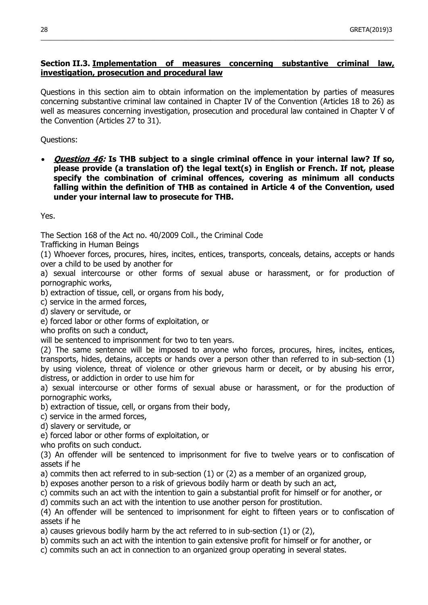# **Section II.3. Implementation of measures concerning substantive criminal law, investigation, prosecution and procedural law**

 $\_$  , and the set of the set of the set of the set of the set of the set of the set of the set of the set of the set of the set of the set of the set of the set of the set of the set of the set of the set of the set of th

Questions in this section aim to obtain information on the implementation by parties of measures concerning substantive criminal law contained in Chapter IV of the Convention (Articles 18 to 26) as well as measures concerning investigation, prosecution and procedural law contained in Chapter V of the Convention (Articles 27 to 31).

Questions:

 **Question 46: Is THB subject to a single criminal offence in your internal law? If so, please provide (a translation of) the legal text(s) in English or French. If not, please specify the combination of criminal offences, covering as minimum all conducts falling within the definition of THB as contained in Article 4 of the Convention, used under your internal law to prosecute for THB.**

Yes.

The Section 168 of the Act no. 40/2009 Coll., the Criminal Code

Trafficking in Human Beings

(1) Whoever forces, procures, hires, incites, entices, transports, conceals, detains, accepts or hands over a child to be used by another for

a) sexual intercourse or other forms of sexual abuse or harassment, or for production of pornographic works,

b) extraction of tissue, cell, or organs from his body,

c) service in the armed forces,

d) slavery or servitude, or

e) forced labor or other forms of exploitation, or

who profits on such a conduct,

will be sentenced to imprisonment for two to ten years.

(2) The same sentence will be imposed to anyone who forces, procures, hires, incites, entices, transports, hides, detains, accepts or hands over a person other than referred to in sub-section (1) by using violence, threat of violence or other grievous harm or deceit, or by abusing his error, distress, or addiction in order to use him for

a) sexual intercourse or other forms of sexual abuse or harassment, or for the production of pornographic works,

b) extraction of tissue, cell, or organs from their body,

c) service in the armed forces,

d) slavery or servitude, or

e) forced labor or other forms of exploitation, or

who profits on such conduct.

(3) An offender will be sentenced to imprisonment for five to twelve years or to confiscation of assets if he

a) commits then act referred to in sub-section (1) or (2) as a member of an organized group,

b) exposes another person to a risk of grievous bodily harm or death by such an act,

c) commits such an act with the intention to gain a substantial profit for himself or for another, or

d) commits such an act with the intention to use another person for prostitution.

(4) An offender will be sentenced to imprisonment for eight to fifteen years or to confiscation of assets if he

a) causes grievous bodily harm by the act referred to in sub-section (1) or (2),

b) commits such an act with the intention to gain extensive profit for himself or for another, or

c) commits such an act in connection to an organized group operating in several states.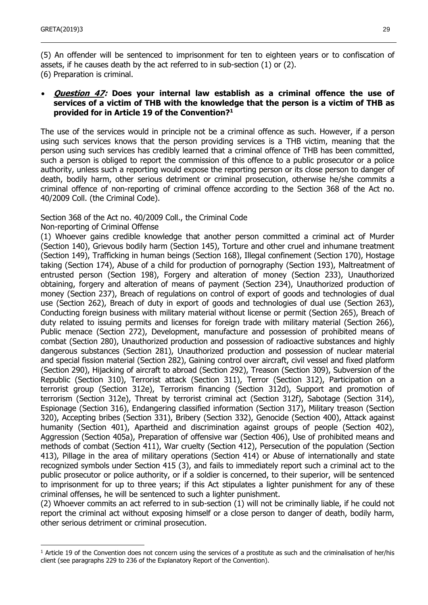(5) An offender will be sentenced to imprisonment for ten to eighteen years or to confiscation of assets, if he causes death by the act referred to in sub-section (1) or (2). (6) Preparation is criminal.

#### **Question 47: Does your internal law establish as a criminal offence the use of services of a victim of THB with the knowledge that the person is a victim of THB as provided for in Article 19 of the Convention?<sup>1</sup>**

The use of the services would in principle not be a criminal offence as such. However, if a person using such services knows that the person providing services is a THB victim, meaning that the person using such services has credibly learned that a criminal offence of THB has been committed, such a person is obliged to report the commission of this offence to a public prosecutor or a police authority, unless such a reporting would expose the reporting person or its close person to danger of death, bodily harm, other serious detriment or criminal prosecution, otherwise he/she commits a criminal offence of non-reporting of criminal offence according to the Section 368 of the Act no. 40/2009 Coll. (the Criminal Code).

Section 368 of the Act no. 40/2009 Coll., the Criminal Code

Non-reporting of Criminal Offense

-

(1) Whoever gains credible knowledge that another person committed a criminal act of Murder (Section 140), Grievous bodily harm (Section 145), Torture and other cruel and inhumane treatment (Section 149), Trafficking in human beings (Section 168), Illegal confinement (Section 170), Hostage taking (Section 174), Abuse of a child for production of pornography (Section 193), Maltreatment of entrusted person (Section 198), Forgery and alteration of money (Section 233), Unauthorized obtaining, forgery and alteration of means of payment (Section 234), Unauthorized production of money (Section 237), Breach of regulations on control of export of goods and technologies of dual use (Section 262), Breach of duty in export of goods and technologies of dual use (Section 263), Conducting foreign business with military material without license or permit (Section 265), Breach of duty related to issuing permits and licenses for foreign trade with military material (Section 266), Public menace (Section 272), Development, manufacture and possession of prohibited means of combat (Section 280), Unauthorized production and possession of radioactive substances and highly dangerous substances (Section 281), Unauthorized production and possession of nuclear material and special fission material (Section 282), Gaining control over aircraft, civil vessel and fixed platform (Section 290), Hijacking of aircraft to abroad (Section 292), Treason (Section 309), Subversion of the Republic (Section 310), Terrorist attack (Section 311), Terror (Section 312), Participation on a terrorist group (Section 312e), Terrorism financing (Section 312d), Support and promotion of terrorism (Section 312e), Threat by terrorist criminal act (Section 312f), Sabotage (Section 314), Espionage (Section 316), Endangering classified information (Section 317), Military treason (Section 320), Accepting bribes (Section 331), Bribery (Section 332), Genocide (Section 400), Attack against humanity (Section 401), Apartheid and discrimination against groups of people (Section 402), Aggression (Section 405a), Preparation of offensive war (Section 406), Use of prohibited means and methods of combat (Section 411), War cruelty (Section 412), Persecution of the population (Section 413), Pillage in the area of military operations (Section 414) or Abuse of internationally and state recognized symbols under Section 415 (3), and fails to immediately report such a criminal act to the public prosecutor or police authority, or if a soldier is concerned, to their superior, will be sentenced to imprisonment for up to three years; if this Act stipulates a lighter punishment for any of these criminal offenses, he will be sentenced to such a lighter punishment.

(2) Whoever commits an act referred to in sub-section (1) will not be criminally liable, if he could not report the criminal act without exposing himself or a close person to danger of death, bodily harm, other serious detriment or criminal prosecution.

 $1$  Article 19 of the Convention does not concern using the services of a prostitute as such and the criminalisation of her/his client (see paragraphs 229 to 236 of the Explanatory Report of the Convention).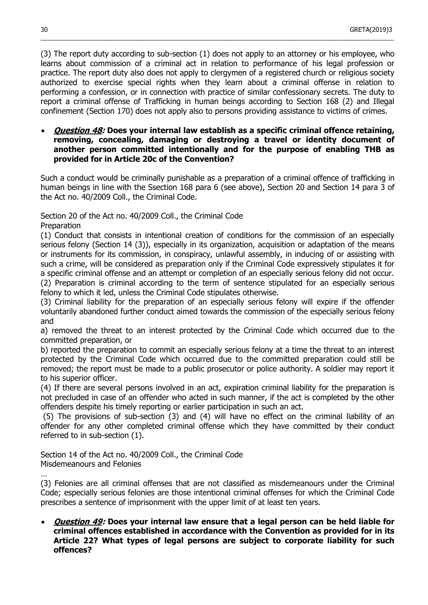(3) The report duty according to sub-section (1) does not apply to an attorney or his employee, who learns about commission of a criminal act in relation to performance of his legal profession or practice. The report duty also does not apply to clergymen of a registered church or religious society authorized to exercise special rights when they learn about a criminal offense in relation to performing a confession, or in connection with practice of similar confessionary secrets. The duty to report a criminal offense of Trafficking in human beings according to Section 168 (2) and Illegal confinement (Section 170) does not apply also to persons providing assistance to victims of crimes.

 $\_$  , and the set of the set of the set of the set of the set of the set of the set of the set of the set of the set of the set of the set of the set of the set of the set of the set of the set of the set of the set of th

#### **Question 48: Does your internal law establish as a specific criminal offence retaining, removing, concealing, damaging or destroying a travel or identity document of another person committed intentionally and for the purpose of enabling THB as provided for in Article 20c of the Convention?**

Such a conduct would be criminally punishable as a preparation of a criminal offence of trafficking in human beings in line with the Ssection 168 para 6 (see above), Section 20 and Section 14 para 3 of the Act no. 40/2009 Coll., the Criminal Code.

Section 20 of the Act no. 40/2009 Coll., the Criminal Code Preparation

(1) Conduct that consists in intentional creation of conditions for the commission of an especially serious felony (Section 14 (3)), especially in its organization, acquisition or adaptation of the means or instruments for its commission, in conspiracy, unlawful assembly, in inducing of or assisting with such a crime, will be considered as preparation only if the Criminal Code expressively stipulates it for a specific criminal offense and an attempt or completion of an especially serious felony did not occur. (2) Preparation is criminal according to the term of sentence stipulated for an especially serious felony to which it led, unless the Criminal Code stipulates otherwise.

(3) Criminal liability for the preparation of an especially serious felony will expire if the offender voluntarily abandoned further conduct aimed towards the commission of the especially serious felony and

a) removed the threat to an interest protected by the Criminal Code which occurred due to the committed preparation, or

b) reported the preparation to commit an especially serious felony at a time the threat to an interest protected by the Criminal Code which occurred due to the committed preparation could still be removed; the report must be made to a public prosecutor or police authority. A soldier may report it to his superior officer.

(4) If there are several persons involved in an act, expiration criminal liability for the preparation is not precluded in case of an offender who acted in such manner, if the act is completed by the other offenders despite his timely reporting or earlier participation in such an act.

(5) The provisions of sub-section (3) and (4) will have no effect on the criminal liability of an offender for any other completed criminal offense which they have committed by their conduct referred to in sub-section (1).

Section 14 of the Act no. 40/2009 Coll., the Criminal Code Misdemeanours and Felonies

(3) Felonies are all criminal offenses that are not classified as misdemeanours under the Criminal Code; especially serious felonies are those intentional criminal offenses for which the Criminal Code prescribes a sentence of imprisonment with the upper limit of at least ten years.

 **Question 49: Does your internal law ensure that a legal person can be held liable for criminal offences established in accordance with the Convention as provided for in its Article 22? What types of legal persons are subject to corporate liability for such offences?**

…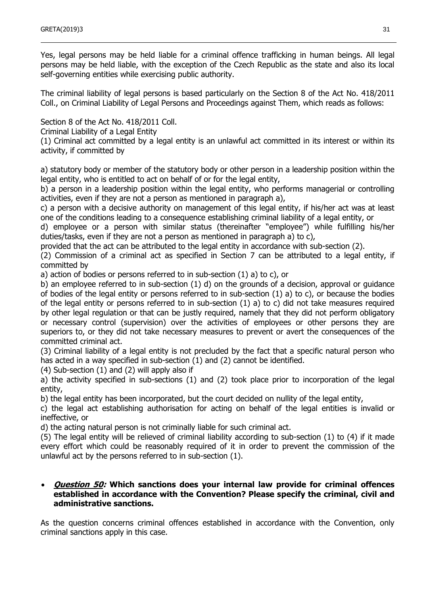Yes, legal persons may be held liable for a criminal offence trafficking in human beings. All legal persons may be held liable, with the exception of the Czech Republic as the state and also its local self-governing entities while exercising public authority.

The criminal liability of legal persons is based particularly on the Section 8 of the Act No. 418/2011 Coll., on Criminal Liability of Legal Persons and Proceedings against Them, which reads as follows:

Section 8 of the Act No. 418/2011 Coll.

Criminal Liability of a Legal Entity

(1) Criminal act committed by a legal entity is an unlawful act committed in its interest or within its activity, if committed by

a) statutory body or member of the statutory body or other person in a leadership position within the legal entity, who is entitled to act on behalf of or for the legal entity,

b) a person in a leadership position within the legal entity, who performs managerial or controlling activities, even if they are not a person as mentioned in paragraph a),

c) a person with a decisive authority on management of this legal entity, if his/her act was at least one of the conditions leading to a consequence establishing criminal liability of a legal entity, or

d) employee or a person with similar status (thereinafter "employee") while fulfilling his/her duties/tasks, even if they are not a person as mentioned in paragraph a) to c),

provided that the act can be attributed to the legal entity in accordance with sub-section (2).

(2) Commission of a criminal act as specified in Section 7 can be attributed to a legal entity, if committed by

a) action of bodies or persons referred to in sub-section (1) a) to c), or

b) an employee referred to in sub-section (1) d) on the grounds of a decision, approval or guidance of bodies of the legal entity or persons referred to in sub-section (1) a) to c), or because the bodies of the legal entity or persons referred to in sub-section (1) a) to c) did not take measures required by other legal regulation or that can be justly required, namely that they did not perform obligatory or necessary control (supervision) over the activities of employees or other persons they are superiors to, or they did not take necessary measures to prevent or avert the consequences of the committed criminal act.

(3) Criminal liability of a legal entity is not precluded by the fact that a specific natural person who has acted in a way specified in sub-section (1) and (2) cannot be identified.

(4) Sub-section (1) and (2) will apply also if

a) the activity specified in sub-sections (1) and (2) took place prior to incorporation of the legal entity,

b) the legal entity has been incorporated, but the court decided on nullity of the legal entity,

c) the legal act establishing authorisation for acting on behalf of the legal entities is invalid or ineffective, or

d) the acting natural person is not criminally liable for such criminal act.

(5) The legal entity will be relieved of criminal liability according to sub-section (1) to (4) if it made every effort which could be reasonably required of it in order to prevent the commission of the unlawful act by the persons referred to in sub-section (1).

#### **Question 50: Which sanctions does your internal law provide for criminal offences established in accordance with the Convention? Please specify the criminal, civil and administrative sanctions.**

As the question concerns criminal offences established in accordance with the Convention, only criminal sanctions apply in this case.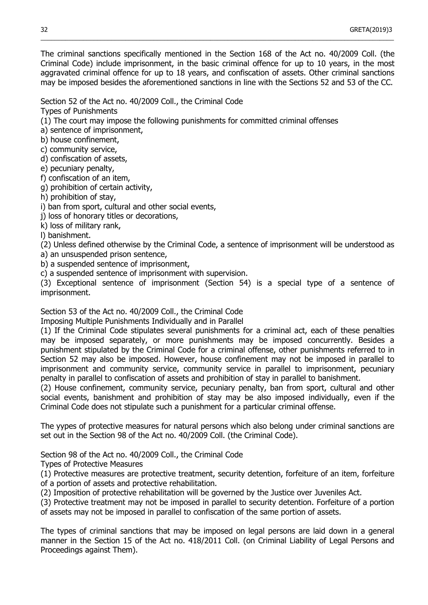The criminal sanctions specifically mentioned in the Section 168 of the Act no. 40/2009 Coll. (the Criminal Code) include imprisonment, in the basic criminal offence for up to 10 years, in the most aggravated criminal offence for up to 18 years, and confiscation of assets. Other criminal sanctions may be imposed besides the aforementioned sanctions in line with the Sections 52 and 53 of the CC.

 $\_$  , and the set of the set of the set of the set of the set of the set of the set of the set of the set of the set of the set of the set of the set of the set of the set of the set of the set of the set of the set of th

Section 52 of the Act no. 40/2009 Coll., the Criminal Code

Types of Punishments

(1) The court may impose the following punishments for committed criminal offenses

a) sentence of imprisonment,

b) house confinement,

c) community service,

d) confiscation of assets,

e) pecuniary penalty,

f) confiscation of an item,

g) prohibition of certain activity,

h) prohibition of stay,

i) ban from sport, cultural and other social events,

j) loss of honorary titles or decorations,

k) loss of military rank,

l) banishment.

(2) Unless defined otherwise by the Criminal Code, a sentence of imprisonment will be understood as a) an unsuspended prison sentence,

b) a suspended sentence of imprisonment,

c) a suspended sentence of imprisonment with supervision.

(3) Exceptional sentence of imprisonment (Section 54) is a special type of a sentence of imprisonment.

Section 53 of the Act no. 40/2009 Coll., the Criminal Code

Imposing Multiple Punishments Individually and in Parallel

(1) If the Criminal Code stipulates several punishments for a criminal act, each of these penalties may be imposed separately, or more punishments may be imposed concurrently. Besides a punishment stipulated by the Criminal Code for a criminal offense, other punishments referred to in Section 52 may also be imposed. However, house confinement may not be imposed in parallel to imprisonment and community service, community service in parallel to imprisonment, pecuniary penalty in parallel to confiscation of assets and prohibition of stay in parallel to banishment.

(2) House confinement, community service, pecuniary penalty, ban from sport, cultural and other social events, banishment and prohibition of stay may be also imposed individually, even if the Criminal Code does not stipulate such a punishment for a particular criminal offense.

The yypes of protective measures for natural persons which also belong under criminal sanctions are set out in the Section 98 of the Act no. 40/2009 Coll. (the Criminal Code).

Section 98 of the Act no. 40/2009 Coll., the Criminal Code

Types of Protective Measures

(1) Protective measures are protective treatment, security detention, forfeiture of an item, forfeiture of a portion of assets and protective rehabilitation.

(2) Imposition of protective rehabilitation will be governed by the Justice over Juveniles Act.

(3) Protective treatment may not be imposed in parallel to security detention. Forfeiture of a portion of assets may not be imposed in parallel to confiscation of the same portion of assets.

The types of criminal sanctions that may be imposed on legal persons are laid down in a general manner in the Section 15 of the Act no. 418/2011 Coll. (on Criminal Liability of Legal Persons and Proceedings against Them).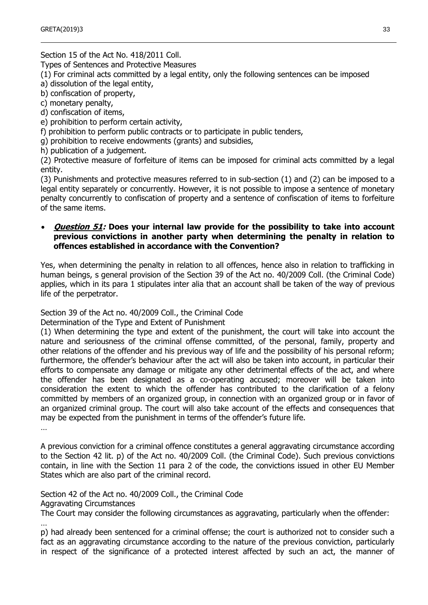Section 15 of the Act No. 418/2011 Coll.

Types of Sentences and Protective Measures

(1) For criminal acts committed by a legal entity, only the following sentences can be imposed

a) dissolution of the legal entity,

b) confiscation of property,

c) monetary penalty,

d) confiscation of items,

e) prohibition to perform certain activity,

f) prohibition to perform public contracts or to participate in public tenders,

g) prohibition to receive endowments (grants) and subsidies,

h) publication of a judgement.

(2) Protective measure of forfeiture of items can be imposed for criminal acts committed by a legal entity.

(3) Punishments and protective measures referred to in sub-section (1) and (2) can be imposed to a legal entity separately or concurrently. However, it is not possible to impose a sentence of monetary penalty concurrently to confiscation of property and a sentence of confiscation of items to forfeiture of the same items.

#### **Question 51: Does your internal law provide for the possibility to take into account previous convictions in another party when determining the penalty in relation to offences established in accordance with the Convention?**

Yes, when determining the penalty in relation to all offences, hence also in relation to trafficking in human beings, s general provision of the Section 39 of the Act no. 40/2009 Coll. (the Criminal Code) applies, which in its para 1 stipulates inter alia that an account shall be taken of the way of previous life of the perpetrator.

Section 39 of the Act no. 40/2009 Coll., the Criminal Code

Determination of the Type and Extent of Punishment

(1) When determining the type and extent of the punishment, the court will take into account the nature and seriousness of the criminal offense committed, of the personal, family, property and other relations of the offender and his previous way of life and the possibility of his personal reform; furthermore, the offender's behaviour after the act will also be taken into account, in particular their efforts to compensate any damage or mitigate any other detrimental effects of the act, and where the offender has been designated as a co-operating accused; moreover will be taken into consideration the extent to which the offender has contributed to the clarification of a felony committed by members of an organized group, in connection with an organized group or in favor of an organized criminal group. The court will also take account of the effects and consequences that may be expected from the punishment in terms of the offender's future life.

…

A previous conviction for a criminal offence constitutes a general aggravating circumstance according to the Section 42 lit. p) of the Act no. 40/2009 Coll. (the Criminal Code). Such previous convictions contain, in line with the Section 11 para 2 of the code, the convictions issued in other EU Member States which are also part of the criminal record.

Section 42 of the Act no. 40/2009 Coll., the Criminal Code

Aggravating Circumstances

The Court may consider the following circumstances as aggravating, particularly when the offender:

…

p) had already been sentenced for a criminal offense; the court is authorized not to consider such a fact as an aggravating circumstance according to the nature of the previous conviction, particularly in respect of the significance of a protected interest affected by such an act, the manner of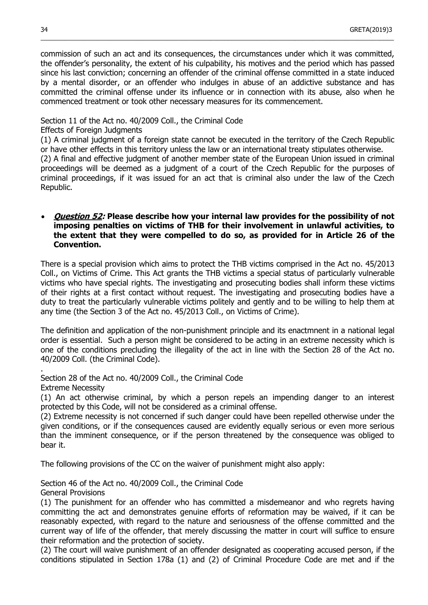commission of such an act and its consequences, the circumstances under which it was committed, the offender's personality, the extent of his culpability, his motives and the period which has passed since his last conviction; concerning an offender of the criminal offense committed in a state induced by a mental disorder, or an offender who indulges in abuse of an addictive substance and has committed the criminal offense under its influence or in connection with its abuse, also when he commenced treatment or took other necessary measures for its commencement.

 $\_$  , and the set of the set of the set of the set of the set of the set of the set of the set of the set of the set of the set of the set of the set of the set of the set of the set of the set of the set of the set of th

#### Section 11 of the Act no. 40/2009 Coll., the Criminal Code

Effects of Foreign Judgments

(1) A criminal judgment of a foreign state cannot be executed in the territory of the Czech Republic or have other effects in this territory unless the law or an international treaty stipulates otherwise.

(2) A final and effective judgment of another member state of the European Union issued in criminal proceedings will be deemed as a judgment of a court of the Czech Republic for the purposes of criminal proceedings, if it was issued for an act that is criminal also under the law of the Czech Republic.

#### **Question 52: Please describe how your internal law provides for the possibility of not imposing penalties on victims of THB for their involvement in unlawful activities, to the extent that they were compelled to do so, as provided for in Article 26 of the Convention.**

There is a special provision which aims to protect the THB victims comprised in the Act no. 45/2013 Coll., on Victims of Crime. This Act grants the THB victims a special status of particularly vulnerable victims who have special rights. The investigating and prosecuting bodies shall inform these victims of their rights at a first contact without request. The investigating and prosecuting bodies have a duty to treat the particularly vulnerable victims politely and gently and to be willing to help them at any time (the Section 3 of the Act no. 45/2013 Coll., on Victims of Crime).

The definition and application of the non-punishment principle and its enactmnent in a national legal order is essential. Such a person might be considered to be acting in an extreme necessity which is one of the conditions precluding the illegality of the act in line with the Section 28 of the Act no. 40/2009 Coll. (the Criminal Code).

Section 28 of the Act no. 40/2009 Coll., the Criminal Code

Extreme Necessity

.

(1) An act otherwise criminal, by which a person repels an impending danger to an interest protected by this Code, will not be considered as a criminal offense.

(2) Extreme necessity is not concerned if such danger could have been repelled otherwise under the given conditions, or if the consequences caused are evidently equally serious or even more serious than the imminent consequence, or if the person threatened by the consequence was obliged to bear it.

The following provisions of the CC on the waiver of punishment might also apply:

Section 46 of the Act no. 40/2009 Coll., the Criminal Code General Provisions

(1) The punishment for an offender who has committed a misdemeanor and who regrets having committing the act and demonstrates genuine efforts of reformation may be waived, if it can be reasonably expected, with regard to the nature and seriousness of the offense committed and the current way of life of the offender, that merely discussing the matter in court will suffice to ensure their reformation and the protection of society.

(2) The court will waive punishment of an offender designated as cooperating accused person, if the conditions stipulated in Section 178a (1) and (2) of Criminal Procedure Code are met and if the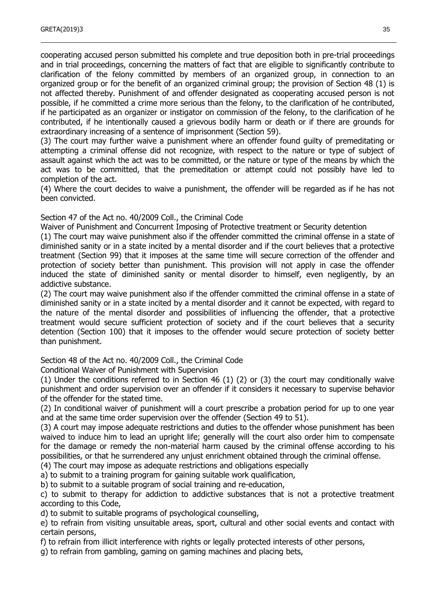cooperating accused person submitted his complete and true deposition both in pre-trial proceedings and in trial proceedings, concerning the matters of fact that are eligible to significantly contribute to clarification of the felony committed by members of an organized group, in connection to an organized group or for the benefit of an organized criminal group; the provision of Section 48 (1) is not affected thereby. Punishment of and offender designated as cooperating accused person is not possible, if he committed a crime more serious than the felony, to the clarification of he contributed, if he participated as an organizer or instigator on commission of the felony, to the clarification of he contributed, if he intentionally caused a grievous bodily harm or death or if there are grounds for extraordinary increasing of a sentence of imprisonment (Section 59).

(3) The court may further waive a punishment where an offender found guilty of premeditating or attempting a criminal offense did not recognize, with respect to the nature or type of subject of assault against which the act was to be committed, or the nature or type of the means by which the act was to be committed, that the premeditation or attempt could not possibly have led to completion of the act.

(4) Where the court decides to waive a punishment, the offender will be regarded as if he has not been convicted.

Section 47 of the Act no. 40/2009 Coll., the Criminal Code

Waiver of Punishment and Concurrent Imposing of Protective treatment or Security detention

(1) The court may waive punishment also if the offender committed the criminal offense in a state of diminished sanity or in a state incited by a mental disorder and if the court believes that a protective treatment (Section 99) that it imposes at the same time will secure correction of the offender and protection of society better than punishment. This provision will not apply in case the offender induced the state of diminished sanity or mental disorder to himself, even negligently, by an addictive substance.

(2) The court may waive punishment also if the offender committed the criminal offense in a state of diminished sanity or in a state incited by a mental disorder and it cannot be expected, with regard to the nature of the mental disorder and possibilities of influencing the offender, that a protective treatment would secure sufficient protection of society and if the court believes that a security detention (Section 100) that it imposes to the offender would secure protection of society better than punishment.

Section 48 of the Act no. 40/2009 Coll., the Criminal Code

Conditional Waiver of Punishment with Supervision

(1) Under the conditions referred to in Section 46 (1) (2) or (3) the court may conditionally waive punishment and order supervision over an offender if it considers it necessary to supervise behavior of the offender for the stated time.

(2) In conditional waiver of punishment will a court prescribe a probation period for up to one year and at the same time order supervision over the offender (Section 49 to 51).

(3) A court may impose adequate restrictions and duties to the offender whose punishment has been waived to induce him to lead an upright life; generally will the court also order him to compensate for the damage or remedy the non-material harm caused by the criminal offense according to his possibilities, or that he surrendered any unjust enrichment obtained through the criminal offense.

(4) The court may impose as adequate restrictions and obligations especially

a) to submit to a training program for gaining suitable work qualification,

b) to submit to a suitable program of social training and re-education,

c) to submit to therapy for addiction to addictive substances that is not a protective treatment according to this Code,

d) to submit to suitable programs of psychological counselling,

e) to refrain from visiting unsuitable areas, sport, cultural and other social events and contact with certain persons,

f) to refrain from illicit interference with rights or legally protected interests of other persons,

g) to refrain from gambling, gaming on gaming machines and placing bets,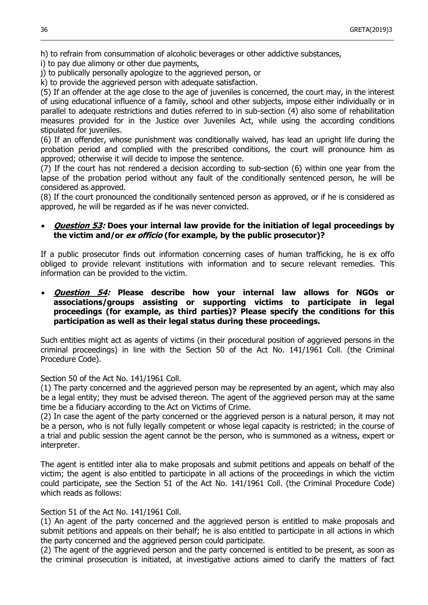h) to refrain from consummation of alcoholic beverages or other addictive substances,

i) to pay due alimony or other due payments,

j) to publically personally apologize to the aggrieved person, or

k) to provide the aggrieved person with adequate satisfaction.

(5) If an offender at the age close to the age of juveniles is concerned, the court may, in the interest of using educational influence of a family, school and other subjects, impose either individually or in parallel to adequate restrictions and duties referred to in sub-section (4) also some of rehabilitation measures provided for in the Justice over Juveniles Act, while using the according conditions stipulated for juveniles.

 $\_$  , and the set of the set of the set of the set of the set of the set of the set of the set of the set of the set of the set of the set of the set of the set of the set of the set of the set of the set of the set of th

(6) If an offender, whose punishment was conditionally waived, has lead an upright life during the probation period and complied with the prescribed conditions, the court will pronounce him as approved; otherwise it will decide to impose the sentence.

(7) If the court has not rendered a decision according to sub-section (6) within one year from the lapse of the probation period without any fault of the conditionally sentenced person, he will be considered as approved.

(8) If the court pronounced the conditionally sentenced person as approved, or if he is considered as approved, he will be regarded as if he was never convicted.

# **Question 53: Does your internal law provide for the initiation of legal proceedings by the victim and/or ex officio (for example, by the public prosecutor)?**

If a public prosecutor finds out information concerning cases of human trafficking, he is ex offo obliged to provide relevant institutions with information and to secure relevant remedies. This information can be provided to the victim.

# **Question 54: Please describe how your internal law allows for NGOs or associations/groups assisting or supporting victims to participate in legal proceedings (for example, as third parties)? Please specify the conditions for this participation as well as their legal status during these proceedings.**

Such entities might act as agents of victims (in their procedural position of aggrieved persons in the criminal proceedings) in line with the Section 50 of the Act No. 141/1961 Coll. (the Criminal Procedure Code).

Section 50 of the Act No. 141/1961 Coll.

(1) The party concerned and the aggrieved person may be represented by an agent, which may also be a legal entity; they must be advised thereon. The agent of the aggrieved person may at the same time be a fiduciary according to the Act on Victims of Crime.

(2) In case the agent of the party concerned or the aggrieved person is a natural person, it may not be a person, who is not fully legally competent or whose legal capacity is restricted; in the course of a trial and public session the agent cannot be the person, who is summoned as a witness, expert or interpreter.

The agent is entitled inter alia to make proposals and submit petitions and appeals on behalf of the victim; the agent is also entitled to participate in all actions of the proceedings in which the victim could participate, see the Section 51 of the Act No. 141/1961 Coll. (the Criminal Procedure Code) which reads as follows:

#### Section 51 of the Act No. 141/1961 Coll.

(1) An agent of the party concerned and the aggrieved person is entitled to make proposals and submit petitions and appeals on their behalf; he is also entitled to participate in all actions in which the party concerned and the aggrieved person could participate.

(2) The agent of the aggrieved person and the party concerned is entitled to be present, as soon as the criminal prosecution is initiated, at investigative actions aimed to clarify the matters of fact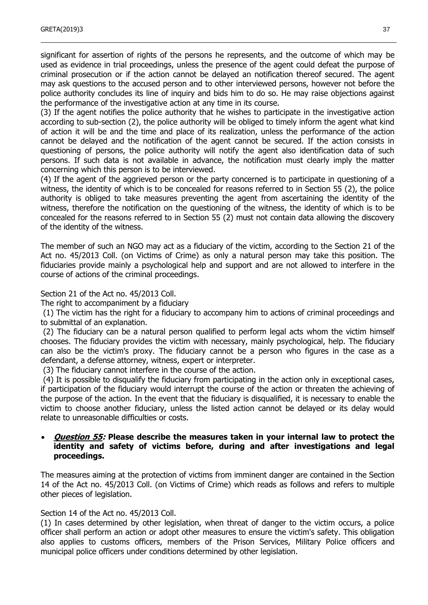significant for assertion of rights of the persons he represents, and the outcome of which may be used as evidence in trial proceedings, unless the presence of the agent could defeat the purpose of criminal prosecution or if the action cannot be delayed an notification thereof secured. The agent may ask questions to the accused person and to other interviewed persons, however not before the police authority concludes its line of inquiry and bids him to do so. He may raise objections against the performance of the investigative action at any time in its course.

(3) If the agent notifies the police authority that he wishes to participate in the investigative action according to sub-section (2), the police authority will be obliged to timely inform the agent what kind of action it will be and the time and place of its realization, unless the performance of the action cannot be delayed and the notification of the agent cannot be secured. If the action consists in questioning of persons, the police authority will notify the agent also identification data of such persons. If such data is not available in advance, the notification must clearly imply the matter concerning which this person is to be interviewed.

(4) If the agent of the aggrieved person or the party concerned is to participate in questioning of a witness, the identity of which is to be concealed for reasons referred to in Section 55 (2), the police authority is obliged to take measures preventing the agent from ascertaining the identity of the witness, therefore the notification on the questioning of the witness, the identity of which is to be concealed for the reasons referred to in Section 55 (2) must not contain data allowing the discovery of the identity of the witness.

The member of such an NGO may act as a fiduciary of the victim, according to the Section 21 of the Act no. 45/2013 Coll. (on Victims of Crime) as only a natural person may take this position. The fiduciaries provide mainly a psychological help and support and are not allowed to interfere in the course of actions of the criminal proceedings.

Section 21 of the Act no. 45/2013 Coll.

The right to accompaniment by a fiduciary

(1) The victim has the right for a fiduciary to accompany him to actions of criminal proceedings and to submittal of an explanation.

(2) The fiduciary can be a natural person qualified to perform legal acts whom the victim himself chooses. The fiduciary provides the victim with necessary, mainly psychological, help. The fiduciary can also be the victim's proxy. The fiduciary cannot be a person who figures in the case as a defendant, a defense attorney, witness, expert or interpreter.

(3) The fiduciary cannot interfere in the course of the action.

(4) It is possible to disqualify the fiduciary from participating in the action only in exceptional cases, if participation of the fiduciary would interrupt the course of the action or threaten the achieving of the purpose of the action. In the event that the fiduciary is disqualified, it is necessary to enable the victim to choose another fiduciary, unless the listed action cannot be delayed or its delay would relate to unreasonable difficulties or costs.

### **Question 55: Please describe the measures taken in your internal law to protect the identity and safety of victims before, during and after investigations and legal proceedings.**

The measures aiming at the protection of victims from imminent danger are contained in the Section 14 of the Act no. 45/2013 Coll. (on Victims of Crime) which reads as follows and refers to multiple other pieces of legislation.

#### Section 14 of the Act no. 45/2013 Coll.

(1) In cases determined by other legislation, when threat of danger to the victim occurs, a police officer shall perform an action or adopt other measures to ensure the victim's safety. This obligation also applies to customs officers, members of the Prison Services, Military Police officers and municipal police officers under conditions determined by other legislation.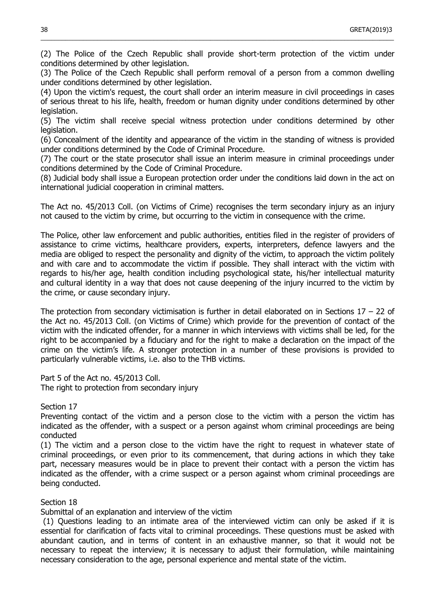(2) The Police of the Czech Republic shall provide short-term protection of the victim under conditions determined by other legislation.

 $\_$  , and the set of the set of the set of the set of the set of the set of the set of the set of the set of the set of the set of the set of the set of the set of the set of the set of the set of the set of the set of th

(3) The Police of the Czech Republic shall perform removal of a person from a common dwelling under conditions determined by other legislation.

(4) Upon the victim's request, the court shall order an interim measure in civil proceedings in cases of serious threat to his life, health, freedom or human dignity under conditions determined by other legislation.

(5) The victim shall receive special witness protection under conditions determined by other legislation.

(6) Concealment of the identity and appearance of the victim in the standing of witness is provided under conditions determined by the Code of Criminal Procedure.

(7) The court or the state prosecutor shall issue an interim measure in criminal proceedings under conditions determined by the Code of Criminal Procedure.

(8) Judicial body shall issue a European protection order under the conditions laid down in the act on international judicial cooperation in criminal matters.

The Act no. 45/2013 Coll. (on Victims of Crime) recognises the term secondary injury as an injury not caused to the victim by crime, but occurring to the victim in consequence with the crime.

The Police, other law enforcement and public authorities, entities filed in the register of providers of assistance to crime victims, healthcare providers, experts, interpreters, defence lawyers and the media are obliged to respect the personality and dignity of the victim, to approach the victim politely and with care and to accommodate the victim if possible. They shall interact with the victim with regards to his/her age, health condition including psychological state, his/her intellectual maturity and cultural identity in a way that does not cause deepening of the injury incurred to the victim by the crime, or cause secondary injury.

The protection from secondary victimisation is further in detail elaborated on in Sections  $17 - 22$  of the Act no. 45/2013 Coll. (on Victims of Crime) which provide for the prevention of contact of the victim with the indicated offender, for a manner in which interviews with victims shall be led, for the right to be accompanied by a fiduciary and for the right to make a declaration on the impact of the crime on the victim's life. A stronger protection in a number of these provisions is provided to particularly vulnerable victims, i.e. also to the THB victims.

Part 5 of the Act no. 45/2013 Coll.

The right to protection from secondary injury

Section 17

Preventing contact of the victim and a person close to the victim with a person the victim has indicated as the offender, with a suspect or a person against whom criminal proceedings are being conducted

(1) The victim and a person close to the victim have the right to request in whatever state of criminal proceedings, or even prior to its commencement, that during actions in which they take part, necessary measures would be in place to prevent their contact with a person the victim has indicated as the offender, with a crime suspect or a person against whom criminal proceedings are being conducted.

#### Section 18

Submittal of an explanation and interview of the victim

(1) Questions leading to an intimate area of the interviewed victim can only be asked if it is essential for clarification of facts vital to criminal proceedings. These questions must be asked with abundant caution, and in terms of content in an exhaustive manner, so that it would not be necessary to repeat the interview; it is necessary to adjust their formulation, while maintaining necessary consideration to the age, personal experience and mental state of the victim.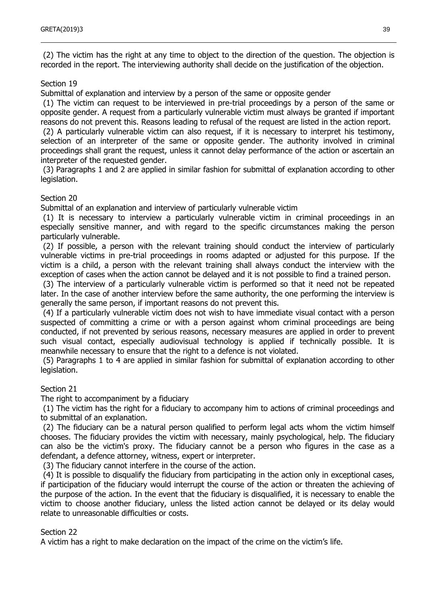(2) The victim has the right at any time to object to the direction of the question. The objection is recorded in the report. The interviewing authority shall decide on the justification of the objection.

#### Section 19

Submittal of explanation and interview by a person of the same or opposite gender

(1) The victim can request to be interviewed in pre-trial proceedings by a person of the same or opposite gender. A request from a particularly vulnerable victim must always be granted if important reasons do not prevent this. Reasons leading to refusal of the request are listed in the action report.

(2) A particularly vulnerable victim can also request, if it is necessary to interpret his testimony, selection of an interpreter of the same or opposite gender. The authority involved in criminal proceedings shall grant the request, unless it cannot delay performance of the action or ascertain an interpreter of the requested gender.

(3) Paragraphs 1 and 2 are applied in similar fashion for submittal of explanation according to other legislation.

#### Section 20

Submittal of an explanation and interview of particularly vulnerable victim

(1) It is necessary to interview a particularly vulnerable victim in criminal proceedings in an especially sensitive manner, and with regard to the specific circumstances making the person particularly vulnerable.

(2) If possible, a person with the relevant training should conduct the interview of particularly vulnerable victims in pre-trial proceedings in rooms adapted or adjusted for this purpose. If the victim is a child, a person with the relevant training shall always conduct the interview with the exception of cases when the action cannot be delayed and it is not possible to find a trained person.

(3) The interview of a particularly vulnerable victim is performed so that it need not be repeated later. In the case of another interview before the same authority, the one performing the interview is generally the same person, if important reasons do not prevent this.

(4) If a particularly vulnerable victim does not wish to have immediate visual contact with a person suspected of committing a crime or with a person against whom criminal proceedings are being conducted, if not prevented by serious reasons, necessary measures are applied in order to prevent such visual contact, especially audiovisual technology is applied if technically possible. It is meanwhile necessary to ensure that the right to a defence is not violated.

(5) Paragraphs 1 to 4 are applied in similar fashion for submittal of explanation according to other legislation.

#### Section 21

The right to accompaniment by a fiduciary

(1) The victim has the right for a fiduciary to accompany him to actions of criminal proceedings and to submittal of an explanation.

(2) The fiduciary can be a natural person qualified to perform legal acts whom the victim himself chooses. The fiduciary provides the victim with necessary, mainly psychological, help. The fiduciary can also be the victim's proxy. The fiduciary cannot be a person who figures in the case as a defendant, a defence attorney, witness, expert or interpreter.

(3) The fiduciary cannot interfere in the course of the action.

(4) It is possible to disqualify the fiduciary from participating in the action only in exceptional cases, if participation of the fiduciary would interrupt the course of the action or threaten the achieving of the purpose of the action. In the event that the fiduciary is disqualified, it is necessary to enable the victim to choose another fiduciary, unless the listed action cannot be delayed or its delay would relate to unreasonable difficulties or costs.

#### Section 22

A victim has a right to make declaration on the impact of the crime on the victim's life.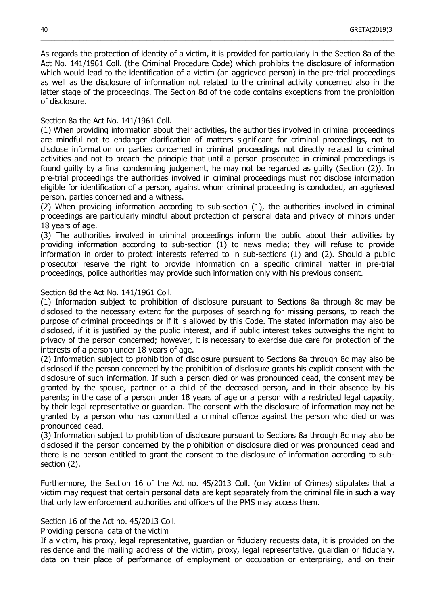As regards the protection of identity of a victim, it is provided for particularly in the Section 8a of the Act No. 141/1961 Coll. (the Criminal Procedure Code) which prohibits the disclosure of information which would lead to the identification of a victim (an aggrieved person) in the pre-trial proceedings as well as the disclosure of information not related to the criminal activity concerned also in the latter stage of the proceedings. The Section 8d of the code contains exceptions from the prohibition of disclosure.

 $\_$  , and the set of the set of the set of the set of the set of the set of the set of the set of the set of the set of the set of the set of the set of the set of the set of the set of the set of the set of the set of th

#### Section 8a the Act No. 141/1961 Coll.

(1) When providing information about their activities, the authorities involved in criminal proceedings are mindful not to endanger clarification of matters significant for criminal proceedings, not to disclose information on parties concerned in criminal proceedings not directly related to criminal activities and not to breach the principle that until a person prosecuted in criminal proceedings is found guilty by a final condemning judgement, he may not be regarded as guilty (Section (2)). In pre-trial proceedings the authorities involved in criminal proceedings must not disclose information eligible for identification of a person, against whom criminal proceeding is conducted, an aggrieved person, parties concerned and a witness.

(2) When providing information according to sub-section (1), the authorities involved in criminal proceedings are particularly mindful about protection of personal data and privacy of minors under 18 years of age.

(3) The authorities involved in criminal proceedings inform the public about their activities by providing information according to sub-section (1) to news media; they will refuse to provide information in order to protect interests referred to in sub-sections (1) and (2). Should a public prosecutor reserve the right to provide information on a specific criminal matter in pre-trial proceedings, police authorities may provide such information only with his previous consent.

#### Section 8d the Act No. 141/1961 Coll.

(1) Information subject to prohibition of disclosure pursuant to Sections 8a through 8c may be disclosed to the necessary extent for the purposes of searching for missing persons, to reach the purpose of criminal proceedings or if it is allowed by this Code. The stated information may also be disclosed, if it is justified by the public interest, and if public interest takes outweighs the right to privacy of the person concerned; however, it is necessary to exercise due care for protection of the interests of a person under 18 years of age.

(2) Information subject to prohibition of disclosure pursuant to Sections 8a through 8c may also be disclosed if the person concerned by the prohibition of disclosure grants his explicit consent with the disclosure of such information. If such a person died or was pronounced dead, the consent may be granted by the spouse, partner or a child of the deceased person, and in their absence by his parents; in the case of a person under 18 years of age or a person with a restricted legal capacity, by their legal representative or guardian. The consent with the disclosure of information may not be granted by a person who has committed a criminal offence against the person who died or was pronounced dead.

(3) Information subject to prohibition of disclosure pursuant to Sections 8a through 8c may also be disclosed if the person concerned by the prohibition of disclosure died or was pronounced dead and there is no person entitled to grant the consent to the disclosure of information according to subsection (2).

Furthermore, the Section 16 of the Act no. 45/2013 Coll. (on Victim of Crimes) stipulates that a victim may request that certain personal data are kept separately from the criminal file in such a way that only law enforcement authorities and officers of the PMS may access them.

#### Section 16 of the Act no. 45/2013 Coll.

Providing personal data of the victim

If a victim, his proxy, legal representative, guardian or fiduciary requests data, it is provided on the residence and the mailing address of the victim, proxy, legal representative, guardian or fiduciary, data on their place of performance of employment or occupation or enterprising, and on their